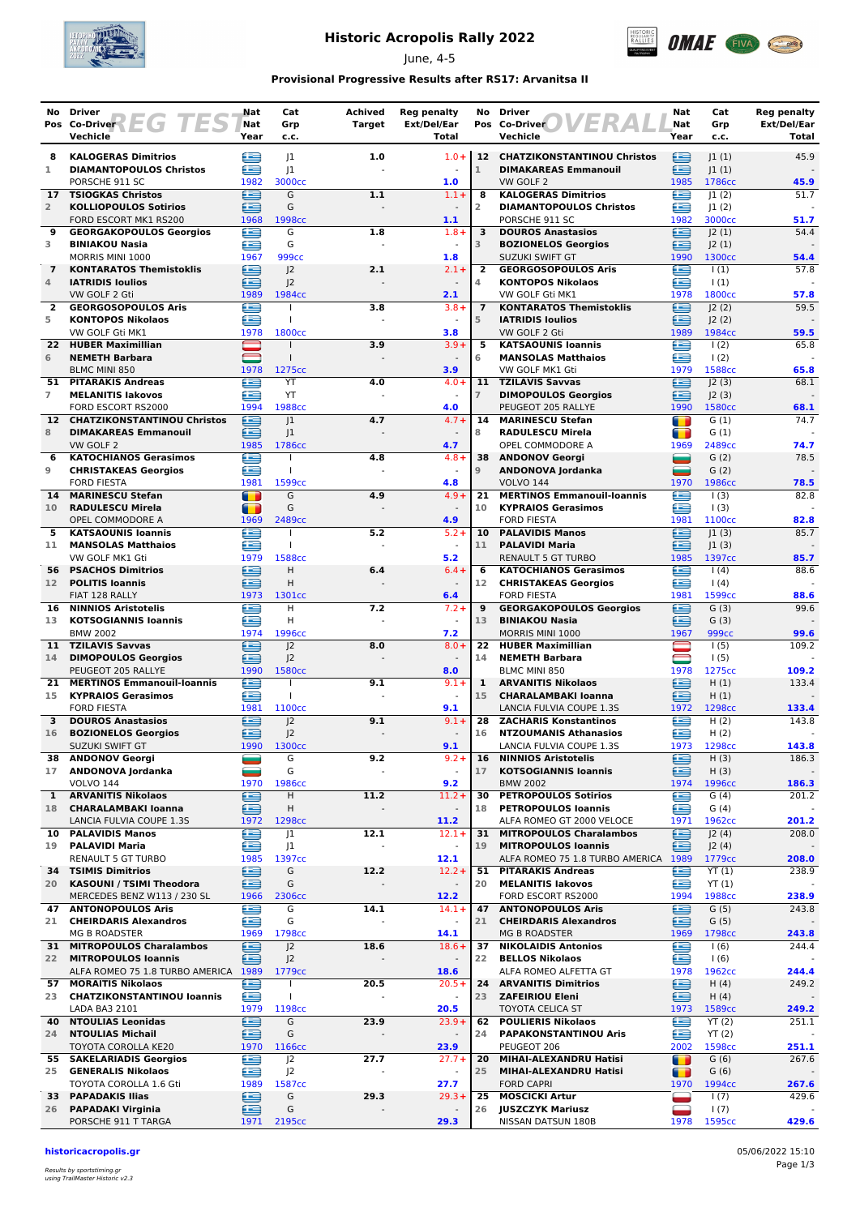

## **Historic Acropolis Rally 2022**

June, 4-5



### **Provisional Progressive Results after RS17: Arvanitsa II**

| Pos Co-Driver<br>Pos Co-Driver<br>Year<br>Vechicle<br>Year<br>Vechicle<br>Total<br>Total<br>c.c.<br>c.c.<br>12 CHATZIKONSTANTINOU Christos<br>45.9<br><b>KALOGERAS Dimitrios</b><br> 1<br>1.0<br>$1.0 +$<br>⊜<br> 1(1) <br>8<br>生<br>œ<br>œ<br>J1<br>1<br><b>DIAMANTOPOULOS Christos</b><br>$\mathbf{1}$<br><b>DIMAKAREAS Emmanouil</b><br> 1(1) <br>3000cc<br>1.0<br>1786cc<br>45.9<br>PORSCHE 911 SC<br>1982<br>VW GOLF 2<br>1985<br>£<br>œ<br>G<br>1.1<br>$1.1 +$<br><b>KALOGERAS Dimitrios</b><br> 1(2) <br>51.7<br><b>TSIOGKAS Christos</b><br>8<br>17<br>£<br>œ<br>G<br>$\overline{2}$<br><b>DIAMANTOPOULOS Christos</b><br> 1(2) <br>$\overline{2}$<br><b>KOLLIOPOULOS Sotirios</b><br>FORD ESCORT MK1 RS200<br>1968<br>1998cc<br>1.1<br>PORSCHE 911 SC<br>1982<br>3000cc<br>51.7<br>œ<br>£<br>G<br>$1.8 +$<br>$\overline{\mathbf{3}}$<br><b>DOUROS Anastasios</b><br>J2(1)<br>54.4<br><b>GEORGAKOPOULOS Georgios</b><br>1.8<br>9<br>æ<br>G<br>œ<br>3<br><b>BINIAKOU Nasia</b><br>3<br><b>BOZIONELOS Georgios</b><br>J2(1)<br>$\sim$<br>MORRIS MINI 1000<br>1967<br><b>999cc</b><br>1.8<br>SUZUKI SWIFT GT<br>1990<br>1300 <sub>cc</sub><br>54.4<br>e<br><b>GEORGOSOPOULOS Aris</b><br>€<br>57.8<br>$\overline{7}$<br><b>KONTARATOS Themistoklis</b><br>J <sup>2</sup><br>2.1<br>$2.1 +$<br>2<br>$\vert$ (1)<br>J <sub>2</sub><br>4<br>£<br><b>IATRIDIS Ioulios</b><br>£<br><b>KONTOPOS Nikolaos</b><br>$\vert$ (1)<br>4<br>$\overline{\phantom{a}}$<br>1984cc<br>1800cc<br>VW GOLF 2 Gti<br>1989<br>2.1<br>VW GOLF Gti MK1<br>1978<br>57.8<br>£<br>£<br><b>GEORGOSOPOULOS Aris</b><br>$3.8 +$<br><b>KONTARATOS Themistoklis</b><br>J2(2)<br>59.5<br>$\mathbf{2}$<br>3.8<br>$\overline{7}$<br>œ<br>5<br><b>IATRIDIS Ioulios</b><br>œ<br>J2(2)<br>5<br><b>KONTOPOS Nikolaos</b><br>$\mathbf{I}$<br>1800cc<br>1984cc<br>59.5<br>VW GOLF Gti MK1<br>1978<br>3.8<br>VW GOLF 2 Gti<br>1989<br>e<br>$3.9+$<br>5<br><b>KATSAOUNIS Ioannis</b><br>$\frac{1(2)}{2}$<br>65.8<br><b>HUBER Maximillian</b><br>3.9<br>22.<br>$\overline{\phantom{0}}$<br>œ<br>$\frac{1(2)}{2}$<br>6<br><b>NEMETH Barbara</b><br>6<br><b>MANSOLAS Matthaios</b><br>$\blacksquare$<br>3.9<br>VW GOLF MK1 Gti<br>1588cc<br><b>BLMC MINI 850</b><br>1978<br>1275cc<br>1979<br>65.8<br>e<br>YT<br>$4.0 +$<br>11<br><b>TZILAVIS Savvas</b><br>≘<br>J2(3)<br>68.1<br><b>PITARAKIS Andreas</b><br>4.0<br>51<br>YT<br>$\overline{7}$<br><b>MELANITIS lakovos</b><br>æ<br>$\overline{7}$<br><b>DIMOPOULOS Georgios</b><br>≘<br>J2(3)<br>1988cc<br>1580cc<br>FORD ESCORT RS2000<br>1994<br>4.0<br>PEUGEOT 205 RALLYE<br>1990<br>68.1<br>æ<br> 1<br>$4.7 +$<br>G(1)<br>74.7<br><b>CHATZIKONSTANTINOU Christos</b><br>4.7<br>14<br><b>MARINESCU Stefan</b><br>$\blacksquare$<br>12 <sup>7</sup><br>8<br><b>DIMAKAREAS Emmanouil</b><br>≘<br> 1<br>8<br><b>RADULESCU Mirela</b><br>G(1)<br>T<br>VW GOLF 2<br>1985<br>1786cc<br>4.7<br>OPEL COMMODORE A<br>1969<br>2489cc<br>74.7<br>£<br>78.5<br><b>KATOCHIANOS Gerasimos</b><br><b>ANDONOV Georgi</b><br>G(2)<br>4.8<br>$4.8 +$<br>38<br>$\blacksquare$<br>6<br>$\mathbf{I}$<br>œ<br>$\overline{9}$<br>G(2)<br>9<br><b>CHRISTAKEAS Georgios</b><br>ANDONOVA Jordanka<br>▀<br>T<br>1970<br>1986cc<br><b>FORD FIESTA</b><br>1981<br>1599cc<br>4.8<br><b>VOLVO 144</b><br>78.5<br>G<br>4.9<br>$4.9 +$<br>21<br><b>MERTINOS Emmanouil-Ioannis</b><br>£<br>1(3)<br>82.8<br>14<br><b>MARINESCU Stefan</b><br>$\blacksquare$<br>G<br><b>RADULESCU Mirela</b><br>10<br><b>KYPRAIOS Gerasimos</b><br>œ<br>1(3)<br>10<br>n<br>2489cc<br>82.8<br>1969<br>4.9<br><b>FORD FIESTA</b><br>1981<br>1100cc<br>OPEL COMMODORE A<br>Œ<br>œ<br>5.2<br>$5.2 +$<br>10<br><b>PALAVIDIS Manos</b><br> 1(3) <br>85.7<br>5<br><b>KATSAOUNIS Ioannis</b><br>≘<br>≘<br> 1(3) <br><b>MANSOLAS Matthaios</b><br>T<br>11<br><b>PALAVIDI Maria</b><br>11<br>$\sim$<br>1588cc<br>85.7<br>VW GOLF MK1 Gti<br>1979<br>5.2<br><b>RENAULT 5 GT TURBO</b><br>1985<br>1397cc<br>≘<br>£<br><b>PSACHOS Dimitrios</b><br>H<br>$6.4 +$<br>88.6<br>6.4<br>6<br><b>KATOCHIANOS Gerasimos</b><br>1(4)<br>56<br>£<br>H<br>£<br><b>POLITIS Ioannis</b><br>12<br><b>CHRISTAKEAS Georgios</b><br>1(4)<br>12 <sup>7</sup><br>1981<br>1599cc<br>FIAT 128 RALLY<br>1973<br>1301cc<br>6.4<br><b>FORD FIESTA</b><br>88.6<br>H<br>7.2<br>$7.2 +$<br><b>GEORGAKOPOULOS Georgios</b><br>∈<br>G(3)<br>99.6<br>16<br><b>NINNIOS Aristotelis</b><br>e<br>9<br>H<br>13<br><b>KOTSOGIANNIS Ioannis</b><br>æ<br>13<br><b>BINIAKOU Nasia</b><br>œ<br>G(3)<br>$\sim$<br>999cc<br><b>BMW 2002</b><br>1974<br>1996cc<br>7.2<br>MORRIS MINI 1000<br>1967<br>99.6<br>€<br>11 TZILAVIS Savvas<br>J <sub>2</sub><br>$8.0 +$<br>22<br>1(5)<br>109.2<br>8.0<br><b>HUBER Maximillian</b><br>œ<br>J <sub>2</sub><br>1(5)<br><b>DIMOPOULOS Georgios</b><br>14<br><b>NEMETH Barbara</b><br>14<br>1580cc<br>PEUGEOT 205 RALLYE<br>1990<br>8.0<br>BLMC MINI 850<br>1978<br>1275cc<br>109.2<br>£<br>£<br>9.1<br>H(1)<br>133.4<br><b>MERTINOS Emmanouil-Ioannis</b><br>$9.1 +$<br>1<br><b>ARVANITIS Nikolaos</b><br>21<br>$\mathbf{I}$<br>≘<br><b>KYPRAIOS Gerasimos</b><br>e<br>T<br>15<br>H(1)<br>15<br><b>CHARALAMBAKI Ioanna</b><br>1981<br>1972<br>1298cc<br><b>FORD FIESTA</b><br>1100 <sub>cc</sub><br>9.1<br>LANCIA FULVIA COUPE 1.3S<br>133.4<br><b>DOUROS Anastasios</b><br>£<br>J <sub>2</sub><br>9.1<br>$9.1 +$<br>≘<br>H(2)<br>143.8<br>3<br>28<br><b>ZACHARIS Konstantinos</b><br>œ<br>≘<br>16<br><b>BOZIONELOS Georgios</b><br> 2<br>16<br><b>NTZOUMANIS Athanasios</b><br>H(2)<br>$\blacksquare$<br>1298cc<br>SUZUKI SWIFT GT<br>1990<br>1300 <sub>cc</sub><br>9.1<br>LANCIA FULVIA COUPE 1.3S<br>1973<br>143.8<br><b>ANDONOV Georgi</b><br>G<br><b>NINNIOS Aristotelis</b><br>⊜<br>H(3)<br>9.2<br>$9.2 +$<br>16<br>186.3<br>38<br>=<br>ANDONOVA Jordanka<br>G<br>∈<br>17<br><b>KOTSOGIANNIS Ioannis</b><br>H(3)<br>17<br>$\overline{\phantom{a}}$<br><b>VOLVO 144</b><br>9.2<br>1970<br>1986cc<br><b>BMW 2002</b><br>1974<br>1996cc<br>œ<br>œ<br><b>ARVANITIS Nikolaos</b><br>н<br>11.2<br>$11.2 +$<br>30<br><b>PETROPOULOS Sotirios</b><br>G(4)<br>201.2<br>$\mathbf{1}$<br>≘<br>Η<br><b>PETROPOULOS Ioannis</b><br>œ<br>G(4)<br><b>CHARALAMBAKI Ioanna</b><br>18<br>18<br>LANCIA FULVIA COUPE 1.3S<br>1298 <sub>cc</sub><br>ALFA ROMEO GT 2000 VELOCE<br>1971<br>1962cc<br>1972<br>11.2<br>e<br>$12.1+$<br><b>MITROPOULOS Charalambos</b><br>≘<br><b>PALAVIDIS Manos</b><br>J1<br>12.1<br>31<br>J2(4)<br>208.0<br>10<br>ఆ<br><b>PALAVIDI Maria</b><br>J <sub>1</sub><br>19<br><b>MITROPOULOS Ioannis</b><br>≘<br>J2(4)<br>19<br>$\overline{\phantom{a}}$<br>RENAULT 5 GT TURBO<br>1985<br>1397cc<br>12.1<br>ALFA ROMEO 75 1.8 TURBO AMERICA 1989<br>1779cc<br>208.0<br>⊟<br>e<br>G<br>12.2<br>51 PITARAKIS Andreas<br><b>TSIMIS Dimitrios</b><br>$12.2 +$<br>YT(1)<br>34<br>鱼<br>G<br>£<br><b>KASOUNI / TSIMI Theodora</b><br>20<br><b>MELANITIS lakovos</b><br>YT(1)<br>20<br>$\blacksquare$<br>MERCEDES BENZ W113 / 230 SL<br>2306cc<br>12.2<br>FORD ESCORT RS2000<br>1994<br>1988cc<br>238.9<br>1966<br>⊟<br>⋐<br>G<br><b>ANTONOPOULOS Aris</b><br>G(5)<br><b>ANTONOPOULOS Aris</b><br>14.1<br>$14.1+$<br>47<br>47<br>≘<br>G<br>≘<br><b>CHEIRDARIS Alexandros</b><br><b>CHEIRDARIS Alexandros</b><br>G(5)<br>21<br>21<br><b>MG B ROADSTER</b><br>1969<br>14.1<br><b>MG B ROADSTER</b><br>1969<br>1798cc<br>1798cc<br>243.8<br><b>MITROPOULOS Charalambos</b><br>œ<br>≘<br>J2<br>18.6<br>$18.6+$<br>37<br><b>NIKOLAIDIS Antonios</b><br>1(6)<br>31<br>≘<br>œ<br><b>MITROPOULOS Ioannis</b><br>J <sup>2</sup><br>22<br><b>BELLOS Nikolaos</b><br>1(6)<br>22<br>ALFA ROMEO 75 1.8 TURBO AMERICA 1989<br>1779cc<br>18.6<br>ALFA ROMEO ALFETTA GT<br>1978<br>1962cc<br>244.4<br>鱼<br>€<br>57 MORAITIS Nikolaos<br>20.5<br>$20.5+$<br>24 ARVANITIS Dimitrios<br>H(4)<br>249.2<br>$\mathbf{I}$<br>∈<br>∈<br>23 CHATZIKONSTANTINOU Ioannis<br>23<br><b>ZAFEIRIOU Eleni</b><br>H(4)<br>T<br>$\blacksquare$<br>LADA BA3 2101<br>1979<br>1198cc<br>20.5<br><b>TOYOTA CELICA ST</b><br>1973<br>1589cc<br>œ<br><b>NTOULIAS Leonidas</b><br>∈<br>G<br>23.9<br>$23.9+$<br>62<br><b>POULIERIS Nikolaos</b><br>YT(2)<br>251.1<br>40<br>≘<br>G<br><b>NTOULIAS Michail</b><br>24<br><b>PAPAKONSTANTINOU Aris</b><br>œ<br>YT(2)<br>24<br>TOYOTA COROLLA KE20<br>1970<br>23.9<br>PEUGEOT 206<br>2002<br>1598cc<br>1166cc<br>Œ<br>27.7<br><b>SAKELARIADIS Georgios</b><br>J2<br>$27.7+$<br>MIHAI-ALEXANDRU Hatisi<br>т<br>G(6)<br>55<br>20<br><b>GENERALIS Nikolaos</b><br>≘<br>J2<br>25<br>MIHAI-ALEXANDRU Hatisi<br>G(6)<br>25<br>т<br>$\blacksquare$<br>TOYOTA COROLLA 1.6 Gti<br>1989<br>1587cc<br>27.7<br><b>FORD CAPRI</b><br>1970<br>1994cc<br>267.6<br>€<br>33 PAPADAKIS Ilias<br>G<br><b>MOSCICKI Artur</b><br>29.3<br>$29.3+$<br>25<br>1(7)<br>G<br>26 PAPADAKI Virginia<br>≘<br><b>JUSZCZYK Mariusz</b><br>1(7)<br>26<br>PORSCHE 911 T TARGA<br>29.3<br>2195 <sub>cc</sub><br>NISSAN DATSUN 180B<br>1978<br>1595cc<br>1971 | No Driver  | Nat        | Cat | Achived       | <b>Reg penalty</b> | No Driver | Nat | Cat | <b>Reg penalty</b> |
|------------------------------------------------------------------------------------------------------------------------------------------------------------------------------------------------------------------------------------------------------------------------------------------------------------------------------------------------------------------------------------------------------------------------------------------------------------------------------------------------------------------------------------------------------------------------------------------------------------------------------------------------------------------------------------------------------------------------------------------------------------------------------------------------------------------------------------------------------------------------------------------------------------------------------------------------------------------------------------------------------------------------------------------------------------------------------------------------------------------------------------------------------------------------------------------------------------------------------------------------------------------------------------------------------------------------------------------------------------------------------------------------------------------------------------------------------------------------------------------------------------------------------------------------------------------------------------------------------------------------------------------------------------------------------------------------------------------------------------------------------------------------------------------------------------------------------------------------------------------------------------------------------------------------------------------------------------------------------------------------------------------------------------------------------------------------------------------------------------------------------------------------------------------------------------------------------------------------------------------------------------------------------------------------------------------------------------------------------------------------------------------------------------------------------------------------------------------------------------------------------------------------------------------------------------------------------------------------------------------------------------------------------------------------------------------------------------------------------------------------------------------------------------------------------------------------------------------------------------------------------------------------------------------------------------------------------------------------------------------------------------------------------------------------------------------------------------------------------------------------------------------------------------------------------------------------------------------------------------------------------------------------------------------------------------------------------------------------------------------------------------------------------------------------------------------------------------------------------------------------------------------------------------------------------------------------------------------------------------------------------------------------------------------------------------------------------------------------------------------------------------------------------------------------------------------------------------------------------------------------------------------------------------------------------------------------------------------------------------------------------------------------------------------------------------------------------------------------------------------------------------------------------------------------------------------------------------------------------------------------------------------------------------------------------------------------------------------------------------------------------------------------------------------------------------------------------------------------------------------------------------------------------------------------------------------------------------------------------------------------------------------------------------------------------------------------------------------------------------------------------------------------------------------------------------------------------------------------------------------------------------------------------------------------------------------------------------------------------------------------------------------------------------------------------------------------------------------------------------------------------------------------------------------------------------------------------------------------------------------------------------------------------------------------------------------------------------------------------------------------------------------------------------------------------------------------------------------------------------------------------------------------------------------------------------------------------------------------------------------------------------------------------------------------------------------------------------------------------------------------------------------------------------------------------------------------------------------------------------------------------------------------------------------------------------------------------------------------------------------------------------------------------------------------------------------------------------------------------------------------------------------------------------------------------------------------------------------------------------------------------------------------------------------------------------------------------------------------------------------------------------------------------------------------------------------------------------------------------------------------------------------------------------------------------------------------------------------------------------------------------------------------------------------------------------------------------------------------------------------------------------------------------------------------------------------------------------------------------------------------------------------------------------------------------------------------------------------------------------------------------------------------------------------------------------------------------------------------------------------------------------------------------------------------------------------------------------------------------------------------------------------------------------------------------------------------------------------------------------------------------------------------------------------------------------------------------------------------------------------------------------------------------------------------------------------------------------------------------------------------------------------------------------------------------------------------------------------------------------------------------------------------------------------------------------------------------------------------------------------------------------------------------------------------------------------------------------------------------------------------------------------------------------------------------------------------------------------------------------------------------------------------------------------------------------------------------------------------------------------------------------------------------------------------------------------------------------------------------------------------------------------------------------------------------------------------------------------------------------------------------------------------------------------------------------------------------------------------------------------------------------------------------------------------------------------------------------------------------------------------------------------------------------------------------------------------------------------------------------------------------------------------------------------------------------------------------------------|------------|------------|-----|---------------|--------------------|-----------|-----|-----|--------------------|
|                                                                                                                                                                                                                                                                                                                                                                                                                                                                                                                                                                                                                                                                                                                                                                                                                                                                                                                                                                                                                                                                                                                                                                                                                                                                                                                                                                                                                                                                                                                                                                                                                                                                                                                                                                                                                                                                                                                                                                                                                                                                                                                                                                                                                                                                                                                                                                                                                                                                                                                                                                                                                                                                                                                                                                                                                                                                                                                                                                                                                                                                                                                                                                                                                                                                                                                                                                                                                                                                                                                                                                                                                                                                                                                                                                                                                                                                                                                                                                                                                                                                                                                                                                                                                                                                                                                                                                                                                                                                                                                                                                                                                                                                                                                                                                                                                                                                                                                                                                                                                                                                                                                                                                                                                                                                                                                                                                                                                                                                                                                                                                                                                                                                                                                                                                                                                                                                                                                                                                                                                                                                                                                                                                                                                                                                                                                                                                                                                                                                                                                                                                                                                                                                                                                                                                                                                                                                                                                                                                                                                                                                                                                                                                                                                                                                                                                                                                                                                                                                                                                                                                                                                                                                                                                                                                                                                                                                                                                                                                                                                                                                                                                                                                                                                                                                                                                                                                                                                                                                                                                                                                                                                                                                                                                                                                                                                                                                                                                                                                  | EG 7<br>ES | <b>Nat</b> | Grp | <b>Target</b> | Ext/Del/Ear        |           | Nat | Grp | Ext/Del/Ear        |
|                                                                                                                                                                                                                                                                                                                                                                                                                                                                                                                                                                                                                                                                                                                                                                                                                                                                                                                                                                                                                                                                                                                                                                                                                                                                                                                                                                                                                                                                                                                                                                                                                                                                                                                                                                                                                                                                                                                                                                                                                                                                                                                                                                                                                                                                                                                                                                                                                                                                                                                                                                                                                                                                                                                                                                                                                                                                                                                                                                                                                                                                                                                                                                                                                                                                                                                                                                                                                                                                                                                                                                                                                                                                                                                                                                                                                                                                                                                                                                                                                                                                                                                                                                                                                                                                                                                                                                                                                                                                                                                                                                                                                                                                                                                                                                                                                                                                                                                                                                                                                                                                                                                                                                                                                                                                                                                                                                                                                                                                                                                                                                                                                                                                                                                                                                                                                                                                                                                                                                                                                                                                                                                                                                                                                                                                                                                                                                                                                                                                                                                                                                                                                                                                                                                                                                                                                                                                                                                                                                                                                                                                                                                                                                                                                                                                                                                                                                                                                                                                                                                                                                                                                                                                                                                                                                                                                                                                                                                                                                                                                                                                                                                                                                                                                                                                                                                                                                                                                                                                                                                                                                                                                                                                                                                                                                                                                                                                                                                                                                  |            |            |     |               |                    |           |     |     |                    |
|                                                                                                                                                                                                                                                                                                                                                                                                                                                                                                                                                                                                                                                                                                                                                                                                                                                                                                                                                                                                                                                                                                                                                                                                                                                                                                                                                                                                                                                                                                                                                                                                                                                                                                                                                                                                                                                                                                                                                                                                                                                                                                                                                                                                                                                                                                                                                                                                                                                                                                                                                                                                                                                                                                                                                                                                                                                                                                                                                                                                                                                                                                                                                                                                                                                                                                                                                                                                                                                                                                                                                                                                                                                                                                                                                                                                                                                                                                                                                                                                                                                                                                                                                                                                                                                                                                                                                                                                                                                                                                                                                                                                                                                                                                                                                                                                                                                                                                                                                                                                                                                                                                                                                                                                                                                                                                                                                                                                                                                                                                                                                                                                                                                                                                                                                                                                                                                                                                                                                                                                                                                                                                                                                                                                                                                                                                                                                                                                                                                                                                                                                                                                                                                                                                                                                                                                                                                                                                                                                                                                                                                                                                                                                                                                                                                                                                                                                                                                                                                                                                                                                                                                                                                                                                                                                                                                                                                                                                                                                                                                                                                                                                                                                                                                                                                                                                                                                                                                                                                                                                                                                                                                                                                                                                                                                                                                                                                                                                                                                                  |            |            |     |               |                    |           |     |     |                    |
|                                                                                                                                                                                                                                                                                                                                                                                                                                                                                                                                                                                                                                                                                                                                                                                                                                                                                                                                                                                                                                                                                                                                                                                                                                                                                                                                                                                                                                                                                                                                                                                                                                                                                                                                                                                                                                                                                                                                                                                                                                                                                                                                                                                                                                                                                                                                                                                                                                                                                                                                                                                                                                                                                                                                                                                                                                                                                                                                                                                                                                                                                                                                                                                                                                                                                                                                                                                                                                                                                                                                                                                                                                                                                                                                                                                                                                                                                                                                                                                                                                                                                                                                                                                                                                                                                                                                                                                                                                                                                                                                                                                                                                                                                                                                                                                                                                                                                                                                                                                                                                                                                                                                                                                                                                                                                                                                                                                                                                                                                                                                                                                                                                                                                                                                                                                                                                                                                                                                                                                                                                                                                                                                                                                                                                                                                                                                                                                                                                                                                                                                                                                                                                                                                                                                                                                                                                                                                                                                                                                                                                                                                                                                                                                                                                                                                                                                                                                                                                                                                                                                                                                                                                                                                                                                                                                                                                                                                                                                                                                                                                                                                                                                                                                                                                                                                                                                                                                                                                                                                                                                                                                                                                                                                                                                                                                                                                                                                                                                                                  |            |            |     |               |                    |           |     |     |                    |
|                                                                                                                                                                                                                                                                                                                                                                                                                                                                                                                                                                                                                                                                                                                                                                                                                                                                                                                                                                                                                                                                                                                                                                                                                                                                                                                                                                                                                                                                                                                                                                                                                                                                                                                                                                                                                                                                                                                                                                                                                                                                                                                                                                                                                                                                                                                                                                                                                                                                                                                                                                                                                                                                                                                                                                                                                                                                                                                                                                                                                                                                                                                                                                                                                                                                                                                                                                                                                                                                                                                                                                                                                                                                                                                                                                                                                                                                                                                                                                                                                                                                                                                                                                                                                                                                                                                                                                                                                                                                                                                                                                                                                                                                                                                                                                                                                                                                                                                                                                                                                                                                                                                                                                                                                                                                                                                                                                                                                                                                                                                                                                                                                                                                                                                                                                                                                                                                                                                                                                                                                                                                                                                                                                                                                                                                                                                                                                                                                                                                                                                                                                                                                                                                                                                                                                                                                                                                                                                                                                                                                                                                                                                                                                                                                                                                                                                                                                                                                                                                                                                                                                                                                                                                                                                                                                                                                                                                                                                                                                                                                                                                                                                                                                                                                                                                                                                                                                                                                                                                                                                                                                                                                                                                                                                                                                                                                                                                                                                                                                  |            |            |     |               |                    |           |     |     |                    |
|                                                                                                                                                                                                                                                                                                                                                                                                                                                                                                                                                                                                                                                                                                                                                                                                                                                                                                                                                                                                                                                                                                                                                                                                                                                                                                                                                                                                                                                                                                                                                                                                                                                                                                                                                                                                                                                                                                                                                                                                                                                                                                                                                                                                                                                                                                                                                                                                                                                                                                                                                                                                                                                                                                                                                                                                                                                                                                                                                                                                                                                                                                                                                                                                                                                                                                                                                                                                                                                                                                                                                                                                                                                                                                                                                                                                                                                                                                                                                                                                                                                                                                                                                                                                                                                                                                                                                                                                                                                                                                                                                                                                                                                                                                                                                                                                                                                                                                                                                                                                                                                                                                                                                                                                                                                                                                                                                                                                                                                                                                                                                                                                                                                                                                                                                                                                                                                                                                                                                                                                                                                                                                                                                                                                                                                                                                                                                                                                                                                                                                                                                                                                                                                                                                                                                                                                                                                                                                                                                                                                                                                                                                                                                                                                                                                                                                                                                                                                                                                                                                                                                                                                                                                                                                                                                                                                                                                                                                                                                                                                                                                                                                                                                                                                                                                                                                                                                                                                                                                                                                                                                                                                                                                                                                                                                                                                                                                                                                                                                                  |            |            |     |               |                    |           |     |     |                    |
|                                                                                                                                                                                                                                                                                                                                                                                                                                                                                                                                                                                                                                                                                                                                                                                                                                                                                                                                                                                                                                                                                                                                                                                                                                                                                                                                                                                                                                                                                                                                                                                                                                                                                                                                                                                                                                                                                                                                                                                                                                                                                                                                                                                                                                                                                                                                                                                                                                                                                                                                                                                                                                                                                                                                                                                                                                                                                                                                                                                                                                                                                                                                                                                                                                                                                                                                                                                                                                                                                                                                                                                                                                                                                                                                                                                                                                                                                                                                                                                                                                                                                                                                                                                                                                                                                                                                                                                                                                                                                                                                                                                                                                                                                                                                                                                                                                                                                                                                                                                                                                                                                                                                                                                                                                                                                                                                                                                                                                                                                                                                                                                                                                                                                                                                                                                                                                                                                                                                                                                                                                                                                                                                                                                                                                                                                                                                                                                                                                                                                                                                                                                                                                                                                                                                                                                                                                                                                                                                                                                                                                                                                                                                                                                                                                                                                                                                                                                                                                                                                                                                                                                                                                                                                                                                                                                                                                                                                                                                                                                                                                                                                                                                                                                                                                                                                                                                                                                                                                                                                                                                                                                                                                                                                                                                                                                                                                                                                                                                                                  |            |            |     |               |                    |           |     |     |                    |
|                                                                                                                                                                                                                                                                                                                                                                                                                                                                                                                                                                                                                                                                                                                                                                                                                                                                                                                                                                                                                                                                                                                                                                                                                                                                                                                                                                                                                                                                                                                                                                                                                                                                                                                                                                                                                                                                                                                                                                                                                                                                                                                                                                                                                                                                                                                                                                                                                                                                                                                                                                                                                                                                                                                                                                                                                                                                                                                                                                                                                                                                                                                                                                                                                                                                                                                                                                                                                                                                                                                                                                                                                                                                                                                                                                                                                                                                                                                                                                                                                                                                                                                                                                                                                                                                                                                                                                                                                                                                                                                                                                                                                                                                                                                                                                                                                                                                                                                                                                                                                                                                                                                                                                                                                                                                                                                                                                                                                                                                                                                                                                                                                                                                                                                                                                                                                                                                                                                                                                                                                                                                                                                                                                                                                                                                                                                                                                                                                                                                                                                                                                                                                                                                                                                                                                                                                                                                                                                                                                                                                                                                                                                                                                                                                                                                                                                                                                                                                                                                                                                                                                                                                                                                                                                                                                                                                                                                                                                                                                                                                                                                                                                                                                                                                                                                                                                                                                                                                                                                                                                                                                                                                                                                                                                                                                                                                                                                                                                                                                  |            |            |     |               |                    |           |     |     |                    |
|                                                                                                                                                                                                                                                                                                                                                                                                                                                                                                                                                                                                                                                                                                                                                                                                                                                                                                                                                                                                                                                                                                                                                                                                                                                                                                                                                                                                                                                                                                                                                                                                                                                                                                                                                                                                                                                                                                                                                                                                                                                                                                                                                                                                                                                                                                                                                                                                                                                                                                                                                                                                                                                                                                                                                                                                                                                                                                                                                                                                                                                                                                                                                                                                                                                                                                                                                                                                                                                                                                                                                                                                                                                                                                                                                                                                                                                                                                                                                                                                                                                                                                                                                                                                                                                                                                                                                                                                                                                                                                                                                                                                                                                                                                                                                                                                                                                                                                                                                                                                                                                                                                                                                                                                                                                                                                                                                                                                                                                                                                                                                                                                                                                                                                                                                                                                                                                                                                                                                                                                                                                                                                                                                                                                                                                                                                                                                                                                                                                                                                                                                                                                                                                                                                                                                                                                                                                                                                                                                                                                                                                                                                                                                                                                                                                                                                                                                                                                                                                                                                                                                                                                                                                                                                                                                                                                                                                                                                                                                                                                                                                                                                                                                                                                                                                                                                                                                                                                                                                                                                                                                                                                                                                                                                                                                                                                                                                                                                                                                                  |            |            |     |               |                    |           |     |     |                    |
|                                                                                                                                                                                                                                                                                                                                                                                                                                                                                                                                                                                                                                                                                                                                                                                                                                                                                                                                                                                                                                                                                                                                                                                                                                                                                                                                                                                                                                                                                                                                                                                                                                                                                                                                                                                                                                                                                                                                                                                                                                                                                                                                                                                                                                                                                                                                                                                                                                                                                                                                                                                                                                                                                                                                                                                                                                                                                                                                                                                                                                                                                                                                                                                                                                                                                                                                                                                                                                                                                                                                                                                                                                                                                                                                                                                                                                                                                                                                                                                                                                                                                                                                                                                                                                                                                                                                                                                                                                                                                                                                                                                                                                                                                                                                                                                                                                                                                                                                                                                                                                                                                                                                                                                                                                                                                                                                                                                                                                                                                                                                                                                                                                                                                                                                                                                                                                                                                                                                                                                                                                                                                                                                                                                                                                                                                                                                                                                                                                                                                                                                                                                                                                                                                                                                                                                                                                                                                                                                                                                                                                                                                                                                                                                                                                                                                                                                                                                                                                                                                                                                                                                                                                                                                                                                                                                                                                                                                                                                                                                                                                                                                                                                                                                                                                                                                                                                                                                                                                                                                                                                                                                                                                                                                                                                                                                                                                                                                                                                                                  |            |            |     |               |                    |           |     |     |                    |
|                                                                                                                                                                                                                                                                                                                                                                                                                                                                                                                                                                                                                                                                                                                                                                                                                                                                                                                                                                                                                                                                                                                                                                                                                                                                                                                                                                                                                                                                                                                                                                                                                                                                                                                                                                                                                                                                                                                                                                                                                                                                                                                                                                                                                                                                                                                                                                                                                                                                                                                                                                                                                                                                                                                                                                                                                                                                                                                                                                                                                                                                                                                                                                                                                                                                                                                                                                                                                                                                                                                                                                                                                                                                                                                                                                                                                                                                                                                                                                                                                                                                                                                                                                                                                                                                                                                                                                                                                                                                                                                                                                                                                                                                                                                                                                                                                                                                                                                                                                                                                                                                                                                                                                                                                                                                                                                                                                                                                                                                                                                                                                                                                                                                                                                                                                                                                                                                                                                                                                                                                                                                                                                                                                                                                                                                                                                                                                                                                                                                                                                                                                                                                                                                                                                                                                                                                                                                                                                                                                                                                                                                                                                                                                                                                                                                                                                                                                                                                                                                                                                                                                                                                                                                                                                                                                                                                                                                                                                                                                                                                                                                                                                                                                                                                                                                                                                                                                                                                                                                                                                                                                                                                                                                                                                                                                                                                                                                                                                                                                  |            |            |     |               |                    |           |     |     |                    |
|                                                                                                                                                                                                                                                                                                                                                                                                                                                                                                                                                                                                                                                                                                                                                                                                                                                                                                                                                                                                                                                                                                                                                                                                                                                                                                                                                                                                                                                                                                                                                                                                                                                                                                                                                                                                                                                                                                                                                                                                                                                                                                                                                                                                                                                                                                                                                                                                                                                                                                                                                                                                                                                                                                                                                                                                                                                                                                                                                                                                                                                                                                                                                                                                                                                                                                                                                                                                                                                                                                                                                                                                                                                                                                                                                                                                                                                                                                                                                                                                                                                                                                                                                                                                                                                                                                                                                                                                                                                                                                                                                                                                                                                                                                                                                                                                                                                                                                                                                                                                                                                                                                                                                                                                                                                                                                                                                                                                                                                                                                                                                                                                                                                                                                                                                                                                                                                                                                                                                                                                                                                                                                                                                                                                                                                                                                                                                                                                                                                                                                                                                                                                                                                                                                                                                                                                                                                                                                                                                                                                                                                                                                                                                                                                                                                                                                                                                                                                                                                                                                                                                                                                                                                                                                                                                                                                                                                                                                                                                                                                                                                                                                                                                                                                                                                                                                                                                                                                                                                                                                                                                                                                                                                                                                                                                                                                                                                                                                                                                                  |            |            |     |               |                    |           |     |     |                    |
|                                                                                                                                                                                                                                                                                                                                                                                                                                                                                                                                                                                                                                                                                                                                                                                                                                                                                                                                                                                                                                                                                                                                                                                                                                                                                                                                                                                                                                                                                                                                                                                                                                                                                                                                                                                                                                                                                                                                                                                                                                                                                                                                                                                                                                                                                                                                                                                                                                                                                                                                                                                                                                                                                                                                                                                                                                                                                                                                                                                                                                                                                                                                                                                                                                                                                                                                                                                                                                                                                                                                                                                                                                                                                                                                                                                                                                                                                                                                                                                                                                                                                                                                                                                                                                                                                                                                                                                                                                                                                                                                                                                                                                                                                                                                                                                                                                                                                                                                                                                                                                                                                                                                                                                                                                                                                                                                                                                                                                                                                                                                                                                                                                                                                                                                                                                                                                                                                                                                                                                                                                                                                                                                                                                                                                                                                                                                                                                                                                                                                                                                                                                                                                                                                                                                                                                                                                                                                                                                                                                                                                                                                                                                                                                                                                                                                                                                                                                                                                                                                                                                                                                                                                                                                                                                                                                                                                                                                                                                                                                                                                                                                                                                                                                                                                                                                                                                                                                                                                                                                                                                                                                                                                                                                                                                                                                                                                                                                                                                                                  |            |            |     |               |                    |           |     |     |                    |
|                                                                                                                                                                                                                                                                                                                                                                                                                                                                                                                                                                                                                                                                                                                                                                                                                                                                                                                                                                                                                                                                                                                                                                                                                                                                                                                                                                                                                                                                                                                                                                                                                                                                                                                                                                                                                                                                                                                                                                                                                                                                                                                                                                                                                                                                                                                                                                                                                                                                                                                                                                                                                                                                                                                                                                                                                                                                                                                                                                                                                                                                                                                                                                                                                                                                                                                                                                                                                                                                                                                                                                                                                                                                                                                                                                                                                                                                                                                                                                                                                                                                                                                                                                                                                                                                                                                                                                                                                                                                                                                                                                                                                                                                                                                                                                                                                                                                                                                                                                                                                                                                                                                                                                                                                                                                                                                                                                                                                                                                                                                                                                                                                                                                                                                                                                                                                                                                                                                                                                                                                                                                                                                                                                                                                                                                                                                                                                                                                                                                                                                                                                                                                                                                                                                                                                                                                                                                                                                                                                                                                                                                                                                                                                                                                                                                                                                                                                                                                                                                                                                                                                                                                                                                                                                                                                                                                                                                                                                                                                                                                                                                                                                                                                                                                                                                                                                                                                                                                                                                                                                                                                                                                                                                                                                                                                                                                                                                                                                                                                  |            |            |     |               |                    |           |     |     |                    |
|                                                                                                                                                                                                                                                                                                                                                                                                                                                                                                                                                                                                                                                                                                                                                                                                                                                                                                                                                                                                                                                                                                                                                                                                                                                                                                                                                                                                                                                                                                                                                                                                                                                                                                                                                                                                                                                                                                                                                                                                                                                                                                                                                                                                                                                                                                                                                                                                                                                                                                                                                                                                                                                                                                                                                                                                                                                                                                                                                                                                                                                                                                                                                                                                                                                                                                                                                                                                                                                                                                                                                                                                                                                                                                                                                                                                                                                                                                                                                                                                                                                                                                                                                                                                                                                                                                                                                                                                                                                                                                                                                                                                                                                                                                                                                                                                                                                                                                                                                                                                                                                                                                                                                                                                                                                                                                                                                                                                                                                                                                                                                                                                                                                                                                                                                                                                                                                                                                                                                                                                                                                                                                                                                                                                                                                                                                                                                                                                                                                                                                                                                                                                                                                                                                                                                                                                                                                                                                                                                                                                                                                                                                                                                                                                                                                                                                                                                                                                                                                                                                                                                                                                                                                                                                                                                                                                                                                                                                                                                                                                                                                                                                                                                                                                                                                                                                                                                                                                                                                                                                                                                                                                                                                                                                                                                                                                                                                                                                                                                                  |            |            |     |               |                    |           |     |     |                    |
|                                                                                                                                                                                                                                                                                                                                                                                                                                                                                                                                                                                                                                                                                                                                                                                                                                                                                                                                                                                                                                                                                                                                                                                                                                                                                                                                                                                                                                                                                                                                                                                                                                                                                                                                                                                                                                                                                                                                                                                                                                                                                                                                                                                                                                                                                                                                                                                                                                                                                                                                                                                                                                                                                                                                                                                                                                                                                                                                                                                                                                                                                                                                                                                                                                                                                                                                                                                                                                                                                                                                                                                                                                                                                                                                                                                                                                                                                                                                                                                                                                                                                                                                                                                                                                                                                                                                                                                                                                                                                                                                                                                                                                                                                                                                                                                                                                                                                                                                                                                                                                                                                                                                                                                                                                                                                                                                                                                                                                                                                                                                                                                                                                                                                                                                                                                                                                                                                                                                                                                                                                                                                                                                                                                                                                                                                                                                                                                                                                                                                                                                                                                                                                                                                                                                                                                                                                                                                                                                                                                                                                                                                                                                                                                                                                                                                                                                                                                                                                                                                                                                                                                                                                                                                                                                                                                                                                                                                                                                                                                                                                                                                                                                                                                                                                                                                                                                                                                                                                                                                                                                                                                                                                                                                                                                                                                                                                                                                                                                                                  |            |            |     |               |                    |           |     |     |                    |
|                                                                                                                                                                                                                                                                                                                                                                                                                                                                                                                                                                                                                                                                                                                                                                                                                                                                                                                                                                                                                                                                                                                                                                                                                                                                                                                                                                                                                                                                                                                                                                                                                                                                                                                                                                                                                                                                                                                                                                                                                                                                                                                                                                                                                                                                                                                                                                                                                                                                                                                                                                                                                                                                                                                                                                                                                                                                                                                                                                                                                                                                                                                                                                                                                                                                                                                                                                                                                                                                                                                                                                                                                                                                                                                                                                                                                                                                                                                                                                                                                                                                                                                                                                                                                                                                                                                                                                                                                                                                                                                                                                                                                                                                                                                                                                                                                                                                                                                                                                                                                                                                                                                                                                                                                                                                                                                                                                                                                                                                                                                                                                                                                                                                                                                                                                                                                                                                                                                                                                                                                                                                                                                                                                                                                                                                                                                                                                                                                                                                                                                                                                                                                                                                                                                                                                                                                                                                                                                                                                                                                                                                                                                                                                                                                                                                                                                                                                                                                                                                                                                                                                                                                                                                                                                                                                                                                                                                                                                                                                                                                                                                                                                                                                                                                                                                                                                                                                                                                                                                                                                                                                                                                                                                                                                                                                                                                                                                                                                                                                  |            |            |     |               |                    |           |     |     |                    |
|                                                                                                                                                                                                                                                                                                                                                                                                                                                                                                                                                                                                                                                                                                                                                                                                                                                                                                                                                                                                                                                                                                                                                                                                                                                                                                                                                                                                                                                                                                                                                                                                                                                                                                                                                                                                                                                                                                                                                                                                                                                                                                                                                                                                                                                                                                                                                                                                                                                                                                                                                                                                                                                                                                                                                                                                                                                                                                                                                                                                                                                                                                                                                                                                                                                                                                                                                                                                                                                                                                                                                                                                                                                                                                                                                                                                                                                                                                                                                                                                                                                                                                                                                                                                                                                                                                                                                                                                                                                                                                                                                                                                                                                                                                                                                                                                                                                                                                                                                                                                                                                                                                                                                                                                                                                                                                                                                                                                                                                                                                                                                                                                                                                                                                                                                                                                                                                                                                                                                                                                                                                                                                                                                                                                                                                                                                                                                                                                                                                                                                                                                                                                                                                                                                                                                                                                                                                                                                                                                                                                                                                                                                                                                                                                                                                                                                                                                                                                                                                                                                                                                                                                                                                                                                                                                                                                                                                                                                                                                                                                                                                                                                                                                                                                                                                                                                                                                                                                                                                                                                                                                                                                                                                                                                                                                                                                                                                                                                                                                                  |            |            |     |               |                    |           |     |     |                    |
|                                                                                                                                                                                                                                                                                                                                                                                                                                                                                                                                                                                                                                                                                                                                                                                                                                                                                                                                                                                                                                                                                                                                                                                                                                                                                                                                                                                                                                                                                                                                                                                                                                                                                                                                                                                                                                                                                                                                                                                                                                                                                                                                                                                                                                                                                                                                                                                                                                                                                                                                                                                                                                                                                                                                                                                                                                                                                                                                                                                                                                                                                                                                                                                                                                                                                                                                                                                                                                                                                                                                                                                                                                                                                                                                                                                                                                                                                                                                                                                                                                                                                                                                                                                                                                                                                                                                                                                                                                                                                                                                                                                                                                                                                                                                                                                                                                                                                                                                                                                                                                                                                                                                                                                                                                                                                                                                                                                                                                                                                                                                                                                                                                                                                                                                                                                                                                                                                                                                                                                                                                                                                                                                                                                                                                                                                                                                                                                                                                                                                                                                                                                                                                                                                                                                                                                                                                                                                                                                                                                                                                                                                                                                                                                                                                                                                                                                                                                                                                                                                                                                                                                                                                                                                                                                                                                                                                                                                                                                                                                                                                                                                                                                                                                                                                                                                                                                                                                                                                                                                                                                                                                                                                                                                                                                                                                                                                                                                                                                                                  |            |            |     |               |                    |           |     |     |                    |
|                                                                                                                                                                                                                                                                                                                                                                                                                                                                                                                                                                                                                                                                                                                                                                                                                                                                                                                                                                                                                                                                                                                                                                                                                                                                                                                                                                                                                                                                                                                                                                                                                                                                                                                                                                                                                                                                                                                                                                                                                                                                                                                                                                                                                                                                                                                                                                                                                                                                                                                                                                                                                                                                                                                                                                                                                                                                                                                                                                                                                                                                                                                                                                                                                                                                                                                                                                                                                                                                                                                                                                                                                                                                                                                                                                                                                                                                                                                                                                                                                                                                                                                                                                                                                                                                                                                                                                                                                                                                                                                                                                                                                                                                                                                                                                                                                                                                                                                                                                                                                                                                                                                                                                                                                                                                                                                                                                                                                                                                                                                                                                                                                                                                                                                                                                                                                                                                                                                                                                                                                                                                                                                                                                                                                                                                                                                                                                                                                                                                                                                                                                                                                                                                                                                                                                                                                                                                                                                                                                                                                                                                                                                                                                                                                                                                                                                                                                                                                                                                                                                                                                                                                                                                                                                                                                                                                                                                                                                                                                                                                                                                                                                                                                                                                                                                                                                                                                                                                                                                                                                                                                                                                                                                                                                                                                                                                                                                                                                                                                  |            |            |     |               |                    |           |     |     |                    |
|                                                                                                                                                                                                                                                                                                                                                                                                                                                                                                                                                                                                                                                                                                                                                                                                                                                                                                                                                                                                                                                                                                                                                                                                                                                                                                                                                                                                                                                                                                                                                                                                                                                                                                                                                                                                                                                                                                                                                                                                                                                                                                                                                                                                                                                                                                                                                                                                                                                                                                                                                                                                                                                                                                                                                                                                                                                                                                                                                                                                                                                                                                                                                                                                                                                                                                                                                                                                                                                                                                                                                                                                                                                                                                                                                                                                                                                                                                                                                                                                                                                                                                                                                                                                                                                                                                                                                                                                                                                                                                                                                                                                                                                                                                                                                                                                                                                                                                                                                                                                                                                                                                                                                                                                                                                                                                                                                                                                                                                                                                                                                                                                                                                                                                                                                                                                                                                                                                                                                                                                                                                                                                                                                                                                                                                                                                                                                                                                                                                                                                                                                                                                                                                                                                                                                                                                                                                                                                                                                                                                                                                                                                                                                                                                                                                                                                                                                                                                                                                                                                                                                                                                                                                                                                                                                                                                                                                                                                                                                                                                                                                                                                                                                                                                                                                                                                                                                                                                                                                                                                                                                                                                                                                                                                                                                                                                                                                                                                                                                                  |            |            |     |               |                    |           |     |     |                    |
|                                                                                                                                                                                                                                                                                                                                                                                                                                                                                                                                                                                                                                                                                                                                                                                                                                                                                                                                                                                                                                                                                                                                                                                                                                                                                                                                                                                                                                                                                                                                                                                                                                                                                                                                                                                                                                                                                                                                                                                                                                                                                                                                                                                                                                                                                                                                                                                                                                                                                                                                                                                                                                                                                                                                                                                                                                                                                                                                                                                                                                                                                                                                                                                                                                                                                                                                                                                                                                                                                                                                                                                                                                                                                                                                                                                                                                                                                                                                                                                                                                                                                                                                                                                                                                                                                                                                                                                                                                                                                                                                                                                                                                                                                                                                                                                                                                                                                                                                                                                                                                                                                                                                                                                                                                                                                                                                                                                                                                                                                                                                                                                                                                                                                                                                                                                                                                                                                                                                                                                                                                                                                                                                                                                                                                                                                                                                                                                                                                                                                                                                                                                                                                                                                                                                                                                                                                                                                                                                                                                                                                                                                                                                                                                                                                                                                                                                                                                                                                                                                                                                                                                                                                                                                                                                                                                                                                                                                                                                                                                                                                                                                                                                                                                                                                                                                                                                                                                                                                                                                                                                                                                                                                                                                                                                                                                                                                                                                                                                                                  |            |            |     |               |                    |           |     |     |                    |
|                                                                                                                                                                                                                                                                                                                                                                                                                                                                                                                                                                                                                                                                                                                                                                                                                                                                                                                                                                                                                                                                                                                                                                                                                                                                                                                                                                                                                                                                                                                                                                                                                                                                                                                                                                                                                                                                                                                                                                                                                                                                                                                                                                                                                                                                                                                                                                                                                                                                                                                                                                                                                                                                                                                                                                                                                                                                                                                                                                                                                                                                                                                                                                                                                                                                                                                                                                                                                                                                                                                                                                                                                                                                                                                                                                                                                                                                                                                                                                                                                                                                                                                                                                                                                                                                                                                                                                                                                                                                                                                                                                                                                                                                                                                                                                                                                                                                                                                                                                                                                                                                                                                                                                                                                                                                                                                                                                                                                                                                                                                                                                                                                                                                                                                                                                                                                                                                                                                                                                                                                                                                                                                                                                                                                                                                                                                                                                                                                                                                                                                                                                                                                                                                                                                                                                                                                                                                                                                                                                                                                                                                                                                                                                                                                                                                                                                                                                                                                                                                                                                                                                                                                                                                                                                                                                                                                                                                                                                                                                                                                                                                                                                                                                                                                                                                                                                                                                                                                                                                                                                                                                                                                                                                                                                                                                                                                                                                                                                                                                  |            |            |     |               |                    |           |     |     |                    |
|                                                                                                                                                                                                                                                                                                                                                                                                                                                                                                                                                                                                                                                                                                                                                                                                                                                                                                                                                                                                                                                                                                                                                                                                                                                                                                                                                                                                                                                                                                                                                                                                                                                                                                                                                                                                                                                                                                                                                                                                                                                                                                                                                                                                                                                                                                                                                                                                                                                                                                                                                                                                                                                                                                                                                                                                                                                                                                                                                                                                                                                                                                                                                                                                                                                                                                                                                                                                                                                                                                                                                                                                                                                                                                                                                                                                                                                                                                                                                                                                                                                                                                                                                                                                                                                                                                                                                                                                                                                                                                                                                                                                                                                                                                                                                                                                                                                                                                                                                                                                                                                                                                                                                                                                                                                                                                                                                                                                                                                                                                                                                                                                                                                                                                                                                                                                                                                                                                                                                                                                                                                                                                                                                                                                                                                                                                                                                                                                                                                                                                                                                                                                                                                                                                                                                                                                                                                                                                                                                                                                                                                                                                                                                                                                                                                                                                                                                                                                                                                                                                                                                                                                                                                                                                                                                                                                                                                                                                                                                                                                                                                                                                                                                                                                                                                                                                                                                                                                                                                                                                                                                                                                                                                                                                                                                                                                                                                                                                                                                                  |            |            |     |               |                    |           |     |     |                    |
|                                                                                                                                                                                                                                                                                                                                                                                                                                                                                                                                                                                                                                                                                                                                                                                                                                                                                                                                                                                                                                                                                                                                                                                                                                                                                                                                                                                                                                                                                                                                                                                                                                                                                                                                                                                                                                                                                                                                                                                                                                                                                                                                                                                                                                                                                                                                                                                                                                                                                                                                                                                                                                                                                                                                                                                                                                                                                                                                                                                                                                                                                                                                                                                                                                                                                                                                                                                                                                                                                                                                                                                                                                                                                                                                                                                                                                                                                                                                                                                                                                                                                                                                                                                                                                                                                                                                                                                                                                                                                                                                                                                                                                                                                                                                                                                                                                                                                                                                                                                                                                                                                                                                                                                                                                                                                                                                                                                                                                                                                                                                                                                                                                                                                                                                                                                                                                                                                                                                                                                                                                                                                                                                                                                                                                                                                                                                                                                                                                                                                                                                                                                                                                                                                                                                                                                                                                                                                                                                                                                                                                                                                                                                                                                                                                                                                                                                                                                                                                                                                                                                                                                                                                                                                                                                                                                                                                                                                                                                                                                                                                                                                                                                                                                                                                                                                                                                                                                                                                                                                                                                                                                                                                                                                                                                                                                                                                                                                                                                                                  |            |            |     |               |                    |           |     |     |                    |
|                                                                                                                                                                                                                                                                                                                                                                                                                                                                                                                                                                                                                                                                                                                                                                                                                                                                                                                                                                                                                                                                                                                                                                                                                                                                                                                                                                                                                                                                                                                                                                                                                                                                                                                                                                                                                                                                                                                                                                                                                                                                                                                                                                                                                                                                                                                                                                                                                                                                                                                                                                                                                                                                                                                                                                                                                                                                                                                                                                                                                                                                                                                                                                                                                                                                                                                                                                                                                                                                                                                                                                                                                                                                                                                                                                                                                                                                                                                                                                                                                                                                                                                                                                                                                                                                                                                                                                                                                                                                                                                                                                                                                                                                                                                                                                                                                                                                                                                                                                                                                                                                                                                                                                                                                                                                                                                                                                                                                                                                                                                                                                                                                                                                                                                                                                                                                                                                                                                                                                                                                                                                                                                                                                                                                                                                                                                                                                                                                                                                                                                                                                                                                                                                                                                                                                                                                                                                                                                                                                                                                                                                                                                                                                                                                                                                                                                                                                                                                                                                                                                                                                                                                                                                                                                                                                                                                                                                                                                                                                                                                                                                                                                                                                                                                                                                                                                                                                                                                                                                                                                                                                                                                                                                                                                                                                                                                                                                                                                                                                  |            |            |     |               |                    |           |     |     |                    |
|                                                                                                                                                                                                                                                                                                                                                                                                                                                                                                                                                                                                                                                                                                                                                                                                                                                                                                                                                                                                                                                                                                                                                                                                                                                                                                                                                                                                                                                                                                                                                                                                                                                                                                                                                                                                                                                                                                                                                                                                                                                                                                                                                                                                                                                                                                                                                                                                                                                                                                                                                                                                                                                                                                                                                                                                                                                                                                                                                                                                                                                                                                                                                                                                                                                                                                                                                                                                                                                                                                                                                                                                                                                                                                                                                                                                                                                                                                                                                                                                                                                                                                                                                                                                                                                                                                                                                                                                                                                                                                                                                                                                                                                                                                                                                                                                                                                                                                                                                                                                                                                                                                                                                                                                                                                                                                                                                                                                                                                                                                                                                                                                                                                                                                                                                                                                                                                                                                                                                                                                                                                                                                                                                                                                                                                                                                                                                                                                                                                                                                                                                                                                                                                                                                                                                                                                                                                                                                                                                                                                                                                                                                                                                                                                                                                                                                                                                                                                                                                                                                                                                                                                                                                                                                                                                                                                                                                                                                                                                                                                                                                                                                                                                                                                                                                                                                                                                                                                                                                                                                                                                                                                                                                                                                                                                                                                                                                                                                                                                                  |            |            |     |               |                    |           |     |     |                    |
|                                                                                                                                                                                                                                                                                                                                                                                                                                                                                                                                                                                                                                                                                                                                                                                                                                                                                                                                                                                                                                                                                                                                                                                                                                                                                                                                                                                                                                                                                                                                                                                                                                                                                                                                                                                                                                                                                                                                                                                                                                                                                                                                                                                                                                                                                                                                                                                                                                                                                                                                                                                                                                                                                                                                                                                                                                                                                                                                                                                                                                                                                                                                                                                                                                                                                                                                                                                                                                                                                                                                                                                                                                                                                                                                                                                                                                                                                                                                                                                                                                                                                                                                                                                                                                                                                                                                                                                                                                                                                                                                                                                                                                                                                                                                                                                                                                                                                                                                                                                                                                                                                                                                                                                                                                                                                                                                                                                                                                                                                                                                                                                                                                                                                                                                                                                                                                                                                                                                                                                                                                                                                                                                                                                                                                                                                                                                                                                                                                                                                                                                                                                                                                                                                                                                                                                                                                                                                                                                                                                                                                                                                                                                                                                                                                                                                                                                                                                                                                                                                                                                                                                                                                                                                                                                                                                                                                                                                                                                                                                                                                                                                                                                                                                                                                                                                                                                                                                                                                                                                                                                                                                                                                                                                                                                                                                                                                                                                                                                                                  |            |            |     |               |                    |           |     |     |                    |
|                                                                                                                                                                                                                                                                                                                                                                                                                                                                                                                                                                                                                                                                                                                                                                                                                                                                                                                                                                                                                                                                                                                                                                                                                                                                                                                                                                                                                                                                                                                                                                                                                                                                                                                                                                                                                                                                                                                                                                                                                                                                                                                                                                                                                                                                                                                                                                                                                                                                                                                                                                                                                                                                                                                                                                                                                                                                                                                                                                                                                                                                                                                                                                                                                                                                                                                                                                                                                                                                                                                                                                                                                                                                                                                                                                                                                                                                                                                                                                                                                                                                                                                                                                                                                                                                                                                                                                                                                                                                                                                                                                                                                                                                                                                                                                                                                                                                                                                                                                                                                                                                                                                                                                                                                                                                                                                                                                                                                                                                                                                                                                                                                                                                                                                                                                                                                                                                                                                                                                                                                                                                                                                                                                                                                                                                                                                                                                                                                                                                                                                                                                                                                                                                                                                                                                                                                                                                                                                                                                                                                                                                                                                                                                                                                                                                                                                                                                                                                                                                                                                                                                                                                                                                                                                                                                                                                                                                                                                                                                                                                                                                                                                                                                                                                                                                                                                                                                                                                                                                                                                                                                                                                                                                                                                                                                                                                                                                                                                                                                  |            |            |     |               |                    |           |     |     |                    |
|                                                                                                                                                                                                                                                                                                                                                                                                                                                                                                                                                                                                                                                                                                                                                                                                                                                                                                                                                                                                                                                                                                                                                                                                                                                                                                                                                                                                                                                                                                                                                                                                                                                                                                                                                                                                                                                                                                                                                                                                                                                                                                                                                                                                                                                                                                                                                                                                                                                                                                                                                                                                                                                                                                                                                                                                                                                                                                                                                                                                                                                                                                                                                                                                                                                                                                                                                                                                                                                                                                                                                                                                                                                                                                                                                                                                                                                                                                                                                                                                                                                                                                                                                                                                                                                                                                                                                                                                                                                                                                                                                                                                                                                                                                                                                                                                                                                                                                                                                                                                                                                                                                                                                                                                                                                                                                                                                                                                                                                                                                                                                                                                                                                                                                                                                                                                                                                                                                                                                                                                                                                                                                                                                                                                                                                                                                                                                                                                                                                                                                                                                                                                                                                                                                                                                                                                                                                                                                                                                                                                                                                                                                                                                                                                                                                                                                                                                                                                                                                                                                                                                                                                                                                                                                                                                                                                                                                                                                                                                                                                                                                                                                                                                                                                                                                                                                                                                                                                                                                                                                                                                                                                                                                                                                                                                                                                                                                                                                                                                                  |            |            |     |               |                    |           |     |     |                    |
|                                                                                                                                                                                                                                                                                                                                                                                                                                                                                                                                                                                                                                                                                                                                                                                                                                                                                                                                                                                                                                                                                                                                                                                                                                                                                                                                                                                                                                                                                                                                                                                                                                                                                                                                                                                                                                                                                                                                                                                                                                                                                                                                                                                                                                                                                                                                                                                                                                                                                                                                                                                                                                                                                                                                                                                                                                                                                                                                                                                                                                                                                                                                                                                                                                                                                                                                                                                                                                                                                                                                                                                                                                                                                                                                                                                                                                                                                                                                                                                                                                                                                                                                                                                                                                                                                                                                                                                                                                                                                                                                                                                                                                                                                                                                                                                                                                                                                                                                                                                                                                                                                                                                                                                                                                                                                                                                                                                                                                                                                                                                                                                                                                                                                                                                                                                                                                                                                                                                                                                                                                                                                                                                                                                                                                                                                                                                                                                                                                                                                                                                                                                                                                                                                                                                                                                                                                                                                                                                                                                                                                                                                                                                                                                                                                                                                                                                                                                                                                                                                                                                                                                                                                                                                                                                                                                                                                                                                                                                                                                                                                                                                                                                                                                                                                                                                                                                                                                                                                                                                                                                                                                                                                                                                                                                                                                                                                                                                                                                                                  |            |            |     |               |                    |           |     |     |                    |
|                                                                                                                                                                                                                                                                                                                                                                                                                                                                                                                                                                                                                                                                                                                                                                                                                                                                                                                                                                                                                                                                                                                                                                                                                                                                                                                                                                                                                                                                                                                                                                                                                                                                                                                                                                                                                                                                                                                                                                                                                                                                                                                                                                                                                                                                                                                                                                                                                                                                                                                                                                                                                                                                                                                                                                                                                                                                                                                                                                                                                                                                                                                                                                                                                                                                                                                                                                                                                                                                                                                                                                                                                                                                                                                                                                                                                                                                                                                                                                                                                                                                                                                                                                                                                                                                                                                                                                                                                                                                                                                                                                                                                                                                                                                                                                                                                                                                                                                                                                                                                                                                                                                                                                                                                                                                                                                                                                                                                                                                                                                                                                                                                                                                                                                                                                                                                                                                                                                                                                                                                                                                                                                                                                                                                                                                                                                                                                                                                                                                                                                                                                                                                                                                                                                                                                                                                                                                                                                                                                                                                                                                                                                                                                                                                                                                                                                                                                                                                                                                                                                                                                                                                                                                                                                                                                                                                                                                                                                                                                                                                                                                                                                                                                                                                                                                                                                                                                                                                                                                                                                                                                                                                                                                                                                                                                                                                                                                                                                                                                  |            |            |     |               |                    |           |     |     |                    |
|                                                                                                                                                                                                                                                                                                                                                                                                                                                                                                                                                                                                                                                                                                                                                                                                                                                                                                                                                                                                                                                                                                                                                                                                                                                                                                                                                                                                                                                                                                                                                                                                                                                                                                                                                                                                                                                                                                                                                                                                                                                                                                                                                                                                                                                                                                                                                                                                                                                                                                                                                                                                                                                                                                                                                                                                                                                                                                                                                                                                                                                                                                                                                                                                                                                                                                                                                                                                                                                                                                                                                                                                                                                                                                                                                                                                                                                                                                                                                                                                                                                                                                                                                                                                                                                                                                                                                                                                                                                                                                                                                                                                                                                                                                                                                                                                                                                                                                                                                                                                                                                                                                                                                                                                                                                                                                                                                                                                                                                                                                                                                                                                                                                                                                                                                                                                                                                                                                                                                                                                                                                                                                                                                                                                                                                                                                                                                                                                                                                                                                                                                                                                                                                                                                                                                                                                                                                                                                                                                                                                                                                                                                                                                                                                                                                                                                                                                                                                                                                                                                                                                                                                                                                                                                                                                                                                                                                                                                                                                                                                                                                                                                                                                                                                                                                                                                                                                                                                                                                                                                                                                                                                                                                                                                                                                                                                                                                                                                                                                                  |            |            |     |               |                    |           |     |     |                    |
|                                                                                                                                                                                                                                                                                                                                                                                                                                                                                                                                                                                                                                                                                                                                                                                                                                                                                                                                                                                                                                                                                                                                                                                                                                                                                                                                                                                                                                                                                                                                                                                                                                                                                                                                                                                                                                                                                                                                                                                                                                                                                                                                                                                                                                                                                                                                                                                                                                                                                                                                                                                                                                                                                                                                                                                                                                                                                                                                                                                                                                                                                                                                                                                                                                                                                                                                                                                                                                                                                                                                                                                                                                                                                                                                                                                                                                                                                                                                                                                                                                                                                                                                                                                                                                                                                                                                                                                                                                                                                                                                                                                                                                                                                                                                                                                                                                                                                                                                                                                                                                                                                                                                                                                                                                                                                                                                                                                                                                                                                                                                                                                                                                                                                                                                                                                                                                                                                                                                                                                                                                                                                                                                                                                                                                                                                                                                                                                                                                                                                                                                                                                                                                                                                                                                                                                                                                                                                                                                                                                                                                                                                                                                                                                                                                                                                                                                                                                                                                                                                                                                                                                                                                                                                                                                                                                                                                                                                                                                                                                                                                                                                                                                                                                                                                                                                                                                                                                                                                                                                                                                                                                                                                                                                                                                                                                                                                                                                                                                                                  |            |            |     |               |                    |           |     |     |                    |
|                                                                                                                                                                                                                                                                                                                                                                                                                                                                                                                                                                                                                                                                                                                                                                                                                                                                                                                                                                                                                                                                                                                                                                                                                                                                                                                                                                                                                                                                                                                                                                                                                                                                                                                                                                                                                                                                                                                                                                                                                                                                                                                                                                                                                                                                                                                                                                                                                                                                                                                                                                                                                                                                                                                                                                                                                                                                                                                                                                                                                                                                                                                                                                                                                                                                                                                                                                                                                                                                                                                                                                                                                                                                                                                                                                                                                                                                                                                                                                                                                                                                                                                                                                                                                                                                                                                                                                                                                                                                                                                                                                                                                                                                                                                                                                                                                                                                                                                                                                                                                                                                                                                                                                                                                                                                                                                                                                                                                                                                                                                                                                                                                                                                                                                                                                                                                                                                                                                                                                                                                                                                                                                                                                                                                                                                                                                                                                                                                                                                                                                                                                                                                                                                                                                                                                                                                                                                                                                                                                                                                                                                                                                                                                                                                                                                                                                                                                                                                                                                                                                                                                                                                                                                                                                                                                                                                                                                                                                                                                                                                                                                                                                                                                                                                                                                                                                                                                                                                                                                                                                                                                                                                                                                                                                                                                                                                                                                                                                                                                  |            |            |     |               |                    |           |     |     |                    |
|                                                                                                                                                                                                                                                                                                                                                                                                                                                                                                                                                                                                                                                                                                                                                                                                                                                                                                                                                                                                                                                                                                                                                                                                                                                                                                                                                                                                                                                                                                                                                                                                                                                                                                                                                                                                                                                                                                                                                                                                                                                                                                                                                                                                                                                                                                                                                                                                                                                                                                                                                                                                                                                                                                                                                                                                                                                                                                                                                                                                                                                                                                                                                                                                                                                                                                                                                                                                                                                                                                                                                                                                                                                                                                                                                                                                                                                                                                                                                                                                                                                                                                                                                                                                                                                                                                                                                                                                                                                                                                                                                                                                                                                                                                                                                                                                                                                                                                                                                                                                                                                                                                                                                                                                                                                                                                                                                                                                                                                                                                                                                                                                                                                                                                                                                                                                                                                                                                                                                                                                                                                                                                                                                                                                                                                                                                                                                                                                                                                                                                                                                                                                                                                                                                                                                                                                                                                                                                                                                                                                                                                                                                                                                                                                                                                                                                                                                                                                                                                                                                                                                                                                                                                                                                                                                                                                                                                                                                                                                                                                                                                                                                                                                                                                                                                                                                                                                                                                                                                                                                                                                                                                                                                                                                                                                                                                                                                                                                                                                                  |            |            |     |               |                    |           |     |     |                    |
|                                                                                                                                                                                                                                                                                                                                                                                                                                                                                                                                                                                                                                                                                                                                                                                                                                                                                                                                                                                                                                                                                                                                                                                                                                                                                                                                                                                                                                                                                                                                                                                                                                                                                                                                                                                                                                                                                                                                                                                                                                                                                                                                                                                                                                                                                                                                                                                                                                                                                                                                                                                                                                                                                                                                                                                                                                                                                                                                                                                                                                                                                                                                                                                                                                                                                                                                                                                                                                                                                                                                                                                                                                                                                                                                                                                                                                                                                                                                                                                                                                                                                                                                                                                                                                                                                                                                                                                                                                                                                                                                                                                                                                                                                                                                                                                                                                                                                                                                                                                                                                                                                                                                                                                                                                                                                                                                                                                                                                                                                                                                                                                                                                                                                                                                                                                                                                                                                                                                                                                                                                                                                                                                                                                                                                                                                                                                                                                                                                                                                                                                                                                                                                                                                                                                                                                                                                                                                                                                                                                                                                                                                                                                                                                                                                                                                                                                                                                                                                                                                                                                                                                                                                                                                                                                                                                                                                                                                                                                                                                                                                                                                                                                                                                                                                                                                                                                                                                                                                                                                                                                                                                                                                                                                                                                                                                                                                                                                                                                                                  |            |            |     |               |                    |           |     |     |                    |
|                                                                                                                                                                                                                                                                                                                                                                                                                                                                                                                                                                                                                                                                                                                                                                                                                                                                                                                                                                                                                                                                                                                                                                                                                                                                                                                                                                                                                                                                                                                                                                                                                                                                                                                                                                                                                                                                                                                                                                                                                                                                                                                                                                                                                                                                                                                                                                                                                                                                                                                                                                                                                                                                                                                                                                                                                                                                                                                                                                                                                                                                                                                                                                                                                                                                                                                                                                                                                                                                                                                                                                                                                                                                                                                                                                                                                                                                                                                                                                                                                                                                                                                                                                                                                                                                                                                                                                                                                                                                                                                                                                                                                                                                                                                                                                                                                                                                                                                                                                                                                                                                                                                                                                                                                                                                                                                                                                                                                                                                                                                                                                                                                                                                                                                                                                                                                                                                                                                                                                                                                                                                                                                                                                                                                                                                                                                                                                                                                                                                                                                                                                                                                                                                                                                                                                                                                                                                                                                                                                                                                                                                                                                                                                                                                                                                                                                                                                                                                                                                                                                                                                                                                                                                                                                                                                                                                                                                                                                                                                                                                                                                                                                                                                                                                                                                                                                                                                                                                                                                                                                                                                                                                                                                                                                                                                                                                                                                                                                                                                  |            |            |     |               |                    |           |     |     |                    |
|                                                                                                                                                                                                                                                                                                                                                                                                                                                                                                                                                                                                                                                                                                                                                                                                                                                                                                                                                                                                                                                                                                                                                                                                                                                                                                                                                                                                                                                                                                                                                                                                                                                                                                                                                                                                                                                                                                                                                                                                                                                                                                                                                                                                                                                                                                                                                                                                                                                                                                                                                                                                                                                                                                                                                                                                                                                                                                                                                                                                                                                                                                                                                                                                                                                                                                                                                                                                                                                                                                                                                                                                                                                                                                                                                                                                                                                                                                                                                                                                                                                                                                                                                                                                                                                                                                                                                                                                                                                                                                                                                                                                                                                                                                                                                                                                                                                                                                                                                                                                                                                                                                                                                                                                                                                                                                                                                                                                                                                                                                                                                                                                                                                                                                                                                                                                                                                                                                                                                                                                                                                                                                                                                                                                                                                                                                                                                                                                                                                                                                                                                                                                                                                                                                                                                                                                                                                                                                                                                                                                                                                                                                                                                                                                                                                                                                                                                                                                                                                                                                                                                                                                                                                                                                                                                                                                                                                                                                                                                                                                                                                                                                                                                                                                                                                                                                                                                                                                                                                                                                                                                                                                                                                                                                                                                                                                                                                                                                                                                                  |            |            |     |               |                    |           |     |     | 186.3              |
|                                                                                                                                                                                                                                                                                                                                                                                                                                                                                                                                                                                                                                                                                                                                                                                                                                                                                                                                                                                                                                                                                                                                                                                                                                                                                                                                                                                                                                                                                                                                                                                                                                                                                                                                                                                                                                                                                                                                                                                                                                                                                                                                                                                                                                                                                                                                                                                                                                                                                                                                                                                                                                                                                                                                                                                                                                                                                                                                                                                                                                                                                                                                                                                                                                                                                                                                                                                                                                                                                                                                                                                                                                                                                                                                                                                                                                                                                                                                                                                                                                                                                                                                                                                                                                                                                                                                                                                                                                                                                                                                                                                                                                                                                                                                                                                                                                                                                                                                                                                                                                                                                                                                                                                                                                                                                                                                                                                                                                                                                                                                                                                                                                                                                                                                                                                                                                                                                                                                                                                                                                                                                                                                                                                                                                                                                                                                                                                                                                                                                                                                                                                                                                                                                                                                                                                                                                                                                                                                                                                                                                                                                                                                                                                                                                                                                                                                                                                                                                                                                                                                                                                                                                                                                                                                                                                                                                                                                                                                                                                                                                                                                                                                                                                                                                                                                                                                                                                                                                                                                                                                                                                                                                                                                                                                                                                                                                                                                                                                                                  |            |            |     |               |                    |           |     |     |                    |
|                                                                                                                                                                                                                                                                                                                                                                                                                                                                                                                                                                                                                                                                                                                                                                                                                                                                                                                                                                                                                                                                                                                                                                                                                                                                                                                                                                                                                                                                                                                                                                                                                                                                                                                                                                                                                                                                                                                                                                                                                                                                                                                                                                                                                                                                                                                                                                                                                                                                                                                                                                                                                                                                                                                                                                                                                                                                                                                                                                                                                                                                                                                                                                                                                                                                                                                                                                                                                                                                                                                                                                                                                                                                                                                                                                                                                                                                                                                                                                                                                                                                                                                                                                                                                                                                                                                                                                                                                                                                                                                                                                                                                                                                                                                                                                                                                                                                                                                                                                                                                                                                                                                                                                                                                                                                                                                                                                                                                                                                                                                                                                                                                                                                                                                                                                                                                                                                                                                                                                                                                                                                                                                                                                                                                                                                                                                                                                                                                                                                                                                                                                                                                                                                                                                                                                                                                                                                                                                                                                                                                                                                                                                                                                                                                                                                                                                                                                                                                                                                                                                                                                                                                                                                                                                                                                                                                                                                                                                                                                                                                                                                                                                                                                                                                                                                                                                                                                                                                                                                                                                                                                                                                                                                                                                                                                                                                                                                                                                                                                  |            |            |     |               |                    |           |     |     | 201.2              |
|                                                                                                                                                                                                                                                                                                                                                                                                                                                                                                                                                                                                                                                                                                                                                                                                                                                                                                                                                                                                                                                                                                                                                                                                                                                                                                                                                                                                                                                                                                                                                                                                                                                                                                                                                                                                                                                                                                                                                                                                                                                                                                                                                                                                                                                                                                                                                                                                                                                                                                                                                                                                                                                                                                                                                                                                                                                                                                                                                                                                                                                                                                                                                                                                                                                                                                                                                                                                                                                                                                                                                                                                                                                                                                                                                                                                                                                                                                                                                                                                                                                                                                                                                                                                                                                                                                                                                                                                                                                                                                                                                                                                                                                                                                                                                                                                                                                                                                                                                                                                                                                                                                                                                                                                                                                                                                                                                                                                                                                                                                                                                                                                                                                                                                                                                                                                                                                                                                                                                                                                                                                                                                                                                                                                                                                                                                                                                                                                                                                                                                                                                                                                                                                                                                                                                                                                                                                                                                                                                                                                                                                                                                                                                                                                                                                                                                                                                                                                                                                                                                                                                                                                                                                                                                                                                                                                                                                                                                                                                                                                                                                                                                                                                                                                                                                                                                                                                                                                                                                                                                                                                                                                                                                                                                                                                                                                                                                                                                                                                                  |            |            |     |               |                    |           |     |     |                    |
|                                                                                                                                                                                                                                                                                                                                                                                                                                                                                                                                                                                                                                                                                                                                                                                                                                                                                                                                                                                                                                                                                                                                                                                                                                                                                                                                                                                                                                                                                                                                                                                                                                                                                                                                                                                                                                                                                                                                                                                                                                                                                                                                                                                                                                                                                                                                                                                                                                                                                                                                                                                                                                                                                                                                                                                                                                                                                                                                                                                                                                                                                                                                                                                                                                                                                                                                                                                                                                                                                                                                                                                                                                                                                                                                                                                                                                                                                                                                                                                                                                                                                                                                                                                                                                                                                                                                                                                                                                                                                                                                                                                                                                                                                                                                                                                                                                                                                                                                                                                                                                                                                                                                                                                                                                                                                                                                                                                                                                                                                                                                                                                                                                                                                                                                                                                                                                                                                                                                                                                                                                                                                                                                                                                                                                                                                                                                                                                                                                                                                                                                                                                                                                                                                                                                                                                                                                                                                                                                                                                                                                                                                                                                                                                                                                                                                                                                                                                                                                                                                                                                                                                                                                                                                                                                                                                                                                                                                                                                                                                                                                                                                                                                                                                                                                                                                                                                                                                                                                                                                                                                                                                                                                                                                                                                                                                                                                                                                                                                                                  |            |            |     |               |                    |           |     |     |                    |
|                                                                                                                                                                                                                                                                                                                                                                                                                                                                                                                                                                                                                                                                                                                                                                                                                                                                                                                                                                                                                                                                                                                                                                                                                                                                                                                                                                                                                                                                                                                                                                                                                                                                                                                                                                                                                                                                                                                                                                                                                                                                                                                                                                                                                                                                                                                                                                                                                                                                                                                                                                                                                                                                                                                                                                                                                                                                                                                                                                                                                                                                                                                                                                                                                                                                                                                                                                                                                                                                                                                                                                                                                                                                                                                                                                                                                                                                                                                                                                                                                                                                                                                                                                                                                                                                                                                                                                                                                                                                                                                                                                                                                                                                                                                                                                                                                                                                                                                                                                                                                                                                                                                                                                                                                                                                                                                                                                                                                                                                                                                                                                                                                                                                                                                                                                                                                                                                                                                                                                                                                                                                                                                                                                                                                                                                                                                                                                                                                                                                                                                                                                                                                                                                                                                                                                                                                                                                                                                                                                                                                                                                                                                                                                                                                                                                                                                                                                                                                                                                                                                                                                                                                                                                                                                                                                                                                                                                                                                                                                                                                                                                                                                                                                                                                                                                                                                                                                                                                                                                                                                                                                                                                                                                                                                                                                                                                                                                                                                                                                  |            |            |     |               |                    |           |     |     | 238.9              |
|                                                                                                                                                                                                                                                                                                                                                                                                                                                                                                                                                                                                                                                                                                                                                                                                                                                                                                                                                                                                                                                                                                                                                                                                                                                                                                                                                                                                                                                                                                                                                                                                                                                                                                                                                                                                                                                                                                                                                                                                                                                                                                                                                                                                                                                                                                                                                                                                                                                                                                                                                                                                                                                                                                                                                                                                                                                                                                                                                                                                                                                                                                                                                                                                                                                                                                                                                                                                                                                                                                                                                                                                                                                                                                                                                                                                                                                                                                                                                                                                                                                                                                                                                                                                                                                                                                                                                                                                                                                                                                                                                                                                                                                                                                                                                                                                                                                                                                                                                                                                                                                                                                                                                                                                                                                                                                                                                                                                                                                                                                                                                                                                                                                                                                                                                                                                                                                                                                                                                                                                                                                                                                                                                                                                                                                                                                                                                                                                                                                                                                                                                                                                                                                                                                                                                                                                                                                                                                                                                                                                                                                                                                                                                                                                                                                                                                                                                                                                                                                                                                                                                                                                                                                                                                                                                                                                                                                                                                                                                                                                                                                                                                                                                                                                                                                                                                                                                                                                                                                                                                                                                                                                                                                                                                                                                                                                                                                                                                                                                                  |            |            |     |               |                    |           |     |     |                    |
|                                                                                                                                                                                                                                                                                                                                                                                                                                                                                                                                                                                                                                                                                                                                                                                                                                                                                                                                                                                                                                                                                                                                                                                                                                                                                                                                                                                                                                                                                                                                                                                                                                                                                                                                                                                                                                                                                                                                                                                                                                                                                                                                                                                                                                                                                                                                                                                                                                                                                                                                                                                                                                                                                                                                                                                                                                                                                                                                                                                                                                                                                                                                                                                                                                                                                                                                                                                                                                                                                                                                                                                                                                                                                                                                                                                                                                                                                                                                                                                                                                                                                                                                                                                                                                                                                                                                                                                                                                                                                                                                                                                                                                                                                                                                                                                                                                                                                                                                                                                                                                                                                                                                                                                                                                                                                                                                                                                                                                                                                                                                                                                                                                                                                                                                                                                                                                                                                                                                                                                                                                                                                                                                                                                                                                                                                                                                                                                                                                                                                                                                                                                                                                                                                                                                                                                                                                                                                                                                                                                                                                                                                                                                                                                                                                                                                                                                                                                                                                                                                                                                                                                                                                                                                                                                                                                                                                                                                                                                                                                                                                                                                                                                                                                                                                                                                                                                                                                                                                                                                                                                                                                                                                                                                                                                                                                                                                                                                                                                                                  |            |            |     |               |                    |           |     |     | 243.8              |
|                                                                                                                                                                                                                                                                                                                                                                                                                                                                                                                                                                                                                                                                                                                                                                                                                                                                                                                                                                                                                                                                                                                                                                                                                                                                                                                                                                                                                                                                                                                                                                                                                                                                                                                                                                                                                                                                                                                                                                                                                                                                                                                                                                                                                                                                                                                                                                                                                                                                                                                                                                                                                                                                                                                                                                                                                                                                                                                                                                                                                                                                                                                                                                                                                                                                                                                                                                                                                                                                                                                                                                                                                                                                                                                                                                                                                                                                                                                                                                                                                                                                                                                                                                                                                                                                                                                                                                                                                                                                                                                                                                                                                                                                                                                                                                                                                                                                                                                                                                                                                                                                                                                                                                                                                                                                                                                                                                                                                                                                                                                                                                                                                                                                                                                                                                                                                                                                                                                                                                                                                                                                                                                                                                                                                                                                                                                                                                                                                                                                                                                                                                                                                                                                                                                                                                                                                                                                                                                                                                                                                                                                                                                                                                                                                                                                                                                                                                                                                                                                                                                                                                                                                                                                                                                                                                                                                                                                                                                                                                                                                                                                                                                                                                                                                                                                                                                                                                                                                                                                                                                                                                                                                                                                                                                                                                                                                                                                                                                                                                  |            |            |     |               |                    |           |     |     |                    |
|                                                                                                                                                                                                                                                                                                                                                                                                                                                                                                                                                                                                                                                                                                                                                                                                                                                                                                                                                                                                                                                                                                                                                                                                                                                                                                                                                                                                                                                                                                                                                                                                                                                                                                                                                                                                                                                                                                                                                                                                                                                                                                                                                                                                                                                                                                                                                                                                                                                                                                                                                                                                                                                                                                                                                                                                                                                                                                                                                                                                                                                                                                                                                                                                                                                                                                                                                                                                                                                                                                                                                                                                                                                                                                                                                                                                                                                                                                                                                                                                                                                                                                                                                                                                                                                                                                                                                                                                                                                                                                                                                                                                                                                                                                                                                                                                                                                                                                                                                                                                                                                                                                                                                                                                                                                                                                                                                                                                                                                                                                                                                                                                                                                                                                                                                                                                                                                                                                                                                                                                                                                                                                                                                                                                                                                                                                                                                                                                                                                                                                                                                                                                                                                                                                                                                                                                                                                                                                                                                                                                                                                                                                                                                                                                                                                                                                                                                                                                                                                                                                                                                                                                                                                                                                                                                                                                                                                                                                                                                                                                                                                                                                                                                                                                                                                                                                                                                                                                                                                                                                                                                                                                                                                                                                                                                                                                                                                                                                                                                                  |            |            |     |               |                    |           |     |     | 244.4              |
|                                                                                                                                                                                                                                                                                                                                                                                                                                                                                                                                                                                                                                                                                                                                                                                                                                                                                                                                                                                                                                                                                                                                                                                                                                                                                                                                                                                                                                                                                                                                                                                                                                                                                                                                                                                                                                                                                                                                                                                                                                                                                                                                                                                                                                                                                                                                                                                                                                                                                                                                                                                                                                                                                                                                                                                                                                                                                                                                                                                                                                                                                                                                                                                                                                                                                                                                                                                                                                                                                                                                                                                                                                                                                                                                                                                                                                                                                                                                                                                                                                                                                                                                                                                                                                                                                                                                                                                                                                                                                                                                                                                                                                                                                                                                                                                                                                                                                                                                                                                                                                                                                                                                                                                                                                                                                                                                                                                                                                                                                                                                                                                                                                                                                                                                                                                                                                                                                                                                                                                                                                                                                                                                                                                                                                                                                                                                                                                                                                                                                                                                                                                                                                                                                                                                                                                                                                                                                                                                                                                                                                                                                                                                                                                                                                                                                                                                                                                                                                                                                                                                                                                                                                                                                                                                                                                                                                                                                                                                                                                                                                                                                                                                                                                                                                                                                                                                                                                                                                                                                                                                                                                                                                                                                                                                                                                                                                                                                                                                                                  |            |            |     |               |                    |           |     |     |                    |
|                                                                                                                                                                                                                                                                                                                                                                                                                                                                                                                                                                                                                                                                                                                                                                                                                                                                                                                                                                                                                                                                                                                                                                                                                                                                                                                                                                                                                                                                                                                                                                                                                                                                                                                                                                                                                                                                                                                                                                                                                                                                                                                                                                                                                                                                                                                                                                                                                                                                                                                                                                                                                                                                                                                                                                                                                                                                                                                                                                                                                                                                                                                                                                                                                                                                                                                                                                                                                                                                                                                                                                                                                                                                                                                                                                                                                                                                                                                                                                                                                                                                                                                                                                                                                                                                                                                                                                                                                                                                                                                                                                                                                                                                                                                                                                                                                                                                                                                                                                                                                                                                                                                                                                                                                                                                                                                                                                                                                                                                                                                                                                                                                                                                                                                                                                                                                                                                                                                                                                                                                                                                                                                                                                                                                                                                                                                                                                                                                                                                                                                                                                                                                                                                                                                                                                                                                                                                                                                                                                                                                                                                                                                                                                                                                                                                                                                                                                                                                                                                                                                                                                                                                                                                                                                                                                                                                                                                                                                                                                                                                                                                                                                                                                                                                                                                                                                                                                                                                                                                                                                                                                                                                                                                                                                                                                                                                                                                                                                                                                  |            |            |     |               |                    |           |     |     |                    |
|                                                                                                                                                                                                                                                                                                                                                                                                                                                                                                                                                                                                                                                                                                                                                                                                                                                                                                                                                                                                                                                                                                                                                                                                                                                                                                                                                                                                                                                                                                                                                                                                                                                                                                                                                                                                                                                                                                                                                                                                                                                                                                                                                                                                                                                                                                                                                                                                                                                                                                                                                                                                                                                                                                                                                                                                                                                                                                                                                                                                                                                                                                                                                                                                                                                                                                                                                                                                                                                                                                                                                                                                                                                                                                                                                                                                                                                                                                                                                                                                                                                                                                                                                                                                                                                                                                                                                                                                                                                                                                                                                                                                                                                                                                                                                                                                                                                                                                                                                                                                                                                                                                                                                                                                                                                                                                                                                                                                                                                                                                                                                                                                                                                                                                                                                                                                                                                                                                                                                                                                                                                                                                                                                                                                                                                                                                                                                                                                                                                                                                                                                                                                                                                                                                                                                                                                                                                                                                                                                                                                                                                                                                                                                                                                                                                                                                                                                                                                                                                                                                                                                                                                                                                                                                                                                                                                                                                                                                                                                                                                                                                                                                                                                                                                                                                                                                                                                                                                                                                                                                                                                                                                                                                                                                                                                                                                                                                                                                                                                                  |            |            |     |               |                    |           |     |     |                    |
|                                                                                                                                                                                                                                                                                                                                                                                                                                                                                                                                                                                                                                                                                                                                                                                                                                                                                                                                                                                                                                                                                                                                                                                                                                                                                                                                                                                                                                                                                                                                                                                                                                                                                                                                                                                                                                                                                                                                                                                                                                                                                                                                                                                                                                                                                                                                                                                                                                                                                                                                                                                                                                                                                                                                                                                                                                                                                                                                                                                                                                                                                                                                                                                                                                                                                                                                                                                                                                                                                                                                                                                                                                                                                                                                                                                                                                                                                                                                                                                                                                                                                                                                                                                                                                                                                                                                                                                                                                                                                                                                                                                                                                                                                                                                                                                                                                                                                                                                                                                                                                                                                                                                                                                                                                                                                                                                                                                                                                                                                                                                                                                                                                                                                                                                                                                                                                                                                                                                                                                                                                                                                                                                                                                                                                                                                                                                                                                                                                                                                                                                                                                                                                                                                                                                                                                                                                                                                                                                                                                                                                                                                                                                                                                                                                                                                                                                                                                                                                                                                                                                                                                                                                                                                                                                                                                                                                                                                                                                                                                                                                                                                                                                                                                                                                                                                                                                                                                                                                                                                                                                                                                                                                                                                                                                                                                                                                                                                                                                                                  |            |            |     |               |                    |           |     |     | 249.2              |
|                                                                                                                                                                                                                                                                                                                                                                                                                                                                                                                                                                                                                                                                                                                                                                                                                                                                                                                                                                                                                                                                                                                                                                                                                                                                                                                                                                                                                                                                                                                                                                                                                                                                                                                                                                                                                                                                                                                                                                                                                                                                                                                                                                                                                                                                                                                                                                                                                                                                                                                                                                                                                                                                                                                                                                                                                                                                                                                                                                                                                                                                                                                                                                                                                                                                                                                                                                                                                                                                                                                                                                                                                                                                                                                                                                                                                                                                                                                                                                                                                                                                                                                                                                                                                                                                                                                                                                                                                                                                                                                                                                                                                                                                                                                                                                                                                                                                                                                                                                                                                                                                                                                                                                                                                                                                                                                                                                                                                                                                                                                                                                                                                                                                                                                                                                                                                                                                                                                                                                                                                                                                                                                                                                                                                                                                                                                                                                                                                                                                                                                                                                                                                                                                                                                                                                                                                                                                                                                                                                                                                                                                                                                                                                                                                                                                                                                                                                                                                                                                                                                                                                                                                                                                                                                                                                                                                                                                                                                                                                                                                                                                                                                                                                                                                                                                                                                                                                                                                                                                                                                                                                                                                                                                                                                                                                                                                                                                                                                                                                  |            |            |     |               |                    |           |     |     |                    |
|                                                                                                                                                                                                                                                                                                                                                                                                                                                                                                                                                                                                                                                                                                                                                                                                                                                                                                                                                                                                                                                                                                                                                                                                                                                                                                                                                                                                                                                                                                                                                                                                                                                                                                                                                                                                                                                                                                                                                                                                                                                                                                                                                                                                                                                                                                                                                                                                                                                                                                                                                                                                                                                                                                                                                                                                                                                                                                                                                                                                                                                                                                                                                                                                                                                                                                                                                                                                                                                                                                                                                                                                                                                                                                                                                                                                                                                                                                                                                                                                                                                                                                                                                                                                                                                                                                                                                                                                                                                                                                                                                                                                                                                                                                                                                                                                                                                                                                                                                                                                                                                                                                                                                                                                                                                                                                                                                                                                                                                                                                                                                                                                                                                                                                                                                                                                                                                                                                                                                                                                                                                                                                                                                                                                                                                                                                                                                                                                                                                                                                                                                                                                                                                                                                                                                                                                                                                                                                                                                                                                                                                                                                                                                                                                                                                                                                                                                                                                                                                                                                                                                                                                                                                                                                                                                                                                                                                                                                                                                                                                                                                                                                                                                                                                                                                                                                                                                                                                                                                                                                                                                                                                                                                                                                                                                                                                                                                                                                                                                                  |            |            |     |               |                    |           |     |     | 251.1              |
|                                                                                                                                                                                                                                                                                                                                                                                                                                                                                                                                                                                                                                                                                                                                                                                                                                                                                                                                                                                                                                                                                                                                                                                                                                                                                                                                                                                                                                                                                                                                                                                                                                                                                                                                                                                                                                                                                                                                                                                                                                                                                                                                                                                                                                                                                                                                                                                                                                                                                                                                                                                                                                                                                                                                                                                                                                                                                                                                                                                                                                                                                                                                                                                                                                                                                                                                                                                                                                                                                                                                                                                                                                                                                                                                                                                                                                                                                                                                                                                                                                                                                                                                                                                                                                                                                                                                                                                                                                                                                                                                                                                                                                                                                                                                                                                                                                                                                                                                                                                                                                                                                                                                                                                                                                                                                                                                                                                                                                                                                                                                                                                                                                                                                                                                                                                                                                                                                                                                                                                                                                                                                                                                                                                                                                                                                                                                                                                                                                                                                                                                                                                                                                                                                                                                                                                                                                                                                                                                                                                                                                                                                                                                                                                                                                                                                                                                                                                                                                                                                                                                                                                                                                                                                                                                                                                                                                                                                                                                                                                                                                                                                                                                                                                                                                                                                                                                                                                                                                                                                                                                                                                                                                                                                                                                                                                                                                                                                                                                                                  |            |            |     |               |                    |           |     |     | 267.6              |
|                                                                                                                                                                                                                                                                                                                                                                                                                                                                                                                                                                                                                                                                                                                                                                                                                                                                                                                                                                                                                                                                                                                                                                                                                                                                                                                                                                                                                                                                                                                                                                                                                                                                                                                                                                                                                                                                                                                                                                                                                                                                                                                                                                                                                                                                                                                                                                                                                                                                                                                                                                                                                                                                                                                                                                                                                                                                                                                                                                                                                                                                                                                                                                                                                                                                                                                                                                                                                                                                                                                                                                                                                                                                                                                                                                                                                                                                                                                                                                                                                                                                                                                                                                                                                                                                                                                                                                                                                                                                                                                                                                                                                                                                                                                                                                                                                                                                                                                                                                                                                                                                                                                                                                                                                                                                                                                                                                                                                                                                                                                                                                                                                                                                                                                                                                                                                                                                                                                                                                                                                                                                                                                                                                                                                                                                                                                                                                                                                                                                                                                                                                                                                                                                                                                                                                                                                                                                                                                                                                                                                                                                                                                                                                                                                                                                                                                                                                                                                                                                                                                                                                                                                                                                                                                                                                                                                                                                                                                                                                                                                                                                                                                                                                                                                                                                                                                                                                                                                                                                                                                                                                                                                                                                                                                                                                                                                                                                                                                                                                  |            |            |     |               |                    |           |     |     |                    |
|                                                                                                                                                                                                                                                                                                                                                                                                                                                                                                                                                                                                                                                                                                                                                                                                                                                                                                                                                                                                                                                                                                                                                                                                                                                                                                                                                                                                                                                                                                                                                                                                                                                                                                                                                                                                                                                                                                                                                                                                                                                                                                                                                                                                                                                                                                                                                                                                                                                                                                                                                                                                                                                                                                                                                                                                                                                                                                                                                                                                                                                                                                                                                                                                                                                                                                                                                                                                                                                                                                                                                                                                                                                                                                                                                                                                                                                                                                                                                                                                                                                                                                                                                                                                                                                                                                                                                                                                                                                                                                                                                                                                                                                                                                                                                                                                                                                                                                                                                                                                                                                                                                                                                                                                                                                                                                                                                                                                                                                                                                                                                                                                                                                                                                                                                                                                                                                                                                                                                                                                                                                                                                                                                                                                                                                                                                                                                                                                                                                                                                                                                                                                                                                                                                                                                                                                                                                                                                                                                                                                                                                                                                                                                                                                                                                                                                                                                                                                                                                                                                                                                                                                                                                                                                                                                                                                                                                                                                                                                                                                                                                                                                                                                                                                                                                                                                                                                                                                                                                                                                                                                                                                                                                                                                                                                                                                                                                                                                                                                                  |            |            |     |               |                    |           |     |     | 429.6              |
|                                                                                                                                                                                                                                                                                                                                                                                                                                                                                                                                                                                                                                                                                                                                                                                                                                                                                                                                                                                                                                                                                                                                                                                                                                                                                                                                                                                                                                                                                                                                                                                                                                                                                                                                                                                                                                                                                                                                                                                                                                                                                                                                                                                                                                                                                                                                                                                                                                                                                                                                                                                                                                                                                                                                                                                                                                                                                                                                                                                                                                                                                                                                                                                                                                                                                                                                                                                                                                                                                                                                                                                                                                                                                                                                                                                                                                                                                                                                                                                                                                                                                                                                                                                                                                                                                                                                                                                                                                                                                                                                                                                                                                                                                                                                                                                                                                                                                                                                                                                                                                                                                                                                                                                                                                                                                                                                                                                                                                                                                                                                                                                                                                                                                                                                                                                                                                                                                                                                                                                                                                                                                                                                                                                                                                                                                                                                                                                                                                                                                                                                                                                                                                                                                                                                                                                                                                                                                                                                                                                                                                                                                                                                                                                                                                                                                                                                                                                                                                                                                                                                                                                                                                                                                                                                                                                                                                                                                                                                                                                                                                                                                                                                                                                                                                                                                                                                                                                                                                                                                                                                                                                                                                                                                                                                                                                                                                                                                                                                                                  |            |            |     |               |                    |           |     |     | 429.6              |

**historicacropolis.gr** 05/06/2022 15:10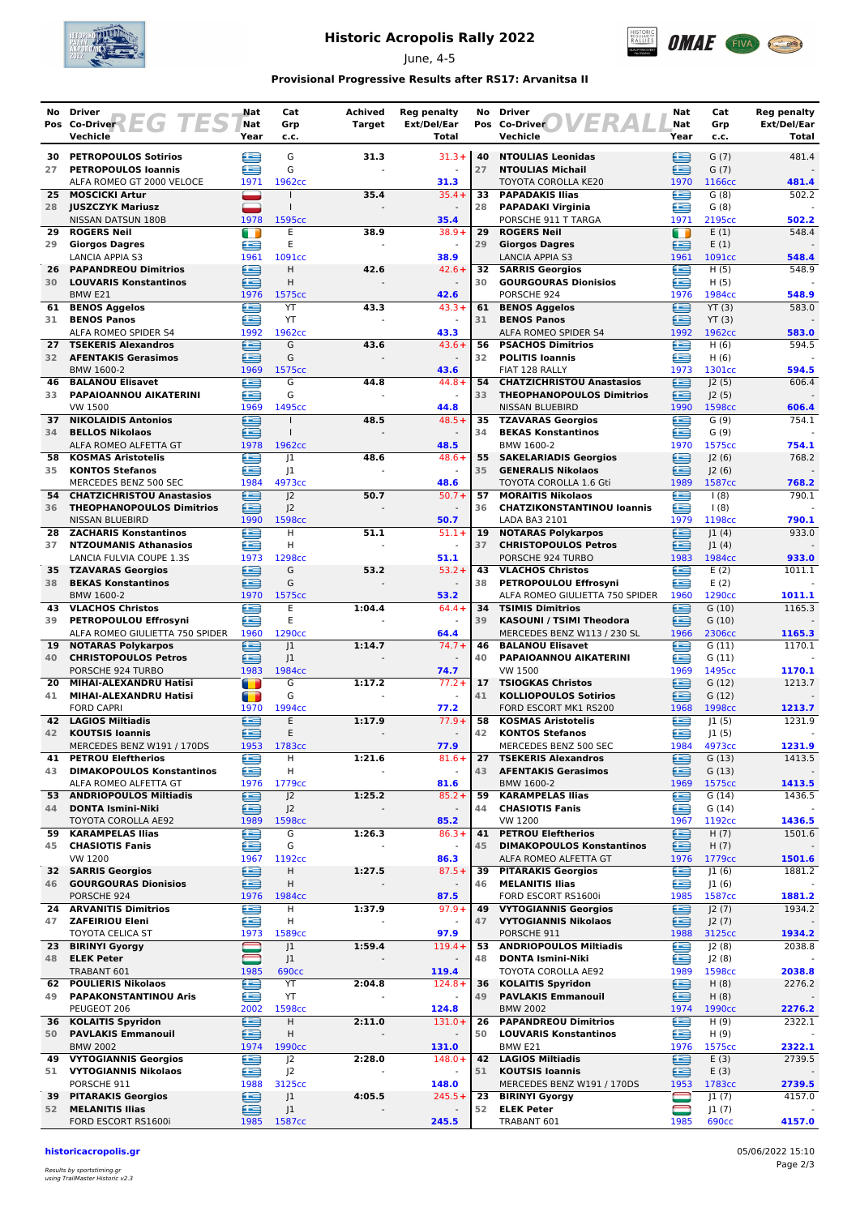

## **Historic Acropolis Rally 2022**

June, 4-5



### **Provisional Progressive Results after RS17: Arvanitsa II**

| No       | Driver                                                  | Nat                | Cat                              | <b>Achived</b> | <b>Reg penalty</b>                   | No       | <b>Driver</b>                                            | Nat         | Cat                         | <b>Reg penalty</b>   |
|----------|---------------------------------------------------------|--------------------|----------------------------------|----------------|--------------------------------------|----------|----------------------------------------------------------|-------------|-----------------------------|----------------------|
|          | $ETG$ $T$<br>Pos Co-Driver<br>ES<br>Vechicle            | <b>Nat</b><br>Year | Grp<br>c.c.                      | Target         | Ext/Del/Ear<br>Total                 |          | ER<br>Pos Co-Driver<br>Vechicle                          | Nat<br>Year | Grp<br>c.c.                 | Ext/Del/Ear<br>Total |
|          |                                                         |                    |                                  |                |                                      |          |                                                          |             |                             |                      |
| 30       | <b>PETROPOULOS Sotirios</b>                             | ≘                  | G                                | 31.3           | $31.3+$                              | 40       | <b>NTOULIAS Leonidas</b>                                 | ≘           | G(7)                        | 481.4                |
| 27       | <b>PETROPOULOS loannis</b><br>ALFA ROMEO GT 2000 VELOCE | £<br>1971          | G<br>1962 <sub>cc</sub>          |                | 31.3                                 | 27       | <b>NTOULIAS Michail</b><br>TOYOTA COROLLA KE20           | £<br>1970   | G(7)<br>1166cc              | 481.4                |
| 25       | <b>MOSCICKI Artur</b>                                   |                    |                                  | 35.4           | $35.4 +$                             | 33       | <b>PAPADAKIS Ilias</b>                                   | œ           | G(8)                        | 502.2                |
|          | 28 JUSZCZYK Mariusz                                     |                    | $\mathbf{I}$                     |                |                                      | 28       | <b>PAPADAKI Virginia</b>                                 | £           | G(8)                        |                      |
|          | NISSAN DATSUN 180B                                      | 1978               | 1595cc                           |                | 35.4                                 |          | PORSCHE 911 T TARGA                                      | 1971        | 2195cc                      | 502.2                |
| 29<br>29 | <b>ROGERS Neil</b>                                      | m<br>£             | E<br>E                           | 38.9           | $38.9+$<br>$\omega$                  | 29<br>29 | <b>ROGERS Neil</b>                                       | m<br>£      | E(1)                        | 548.4                |
|          | <b>Giorgos Dagres</b><br><b>LANCIA APPIA S3</b>         | 1961               | 1091cc                           |                | 38.9                                 |          | <b>Giorgos Dagres</b><br><b>LANCIA APPIA S3</b>          | 1961        | E(1)<br>1091cc              | 548.4                |
| 26       | <b>PAPANDREOU Dimitrios</b>                             | e                  | $\overline{H}$                   | 42.6           | $42.6+$                              | 32       | <b>SARRIS Georgios</b>                                   | ⋐           | H(5)                        | 548.9                |
| 30       | <b>LOUVARIS Konstantinos</b>                            | £                  | H                                |                |                                      | 30       | <b>GOURGOURAS Dionisios</b>                              | è           | H(5)                        |                      |
|          | BMW <sub>E21</sub>                                      | 1976               | 1575cc                           |                | 42.6                                 |          | PORSCHE 924                                              | 1976        | 1984cc                      | 548.9                |
| 61<br>31 | <b>BENOS Aggelos</b><br><b>BENOS Panos</b>              | £<br>œ             | YT<br>YT                         | 43.3           | $43.3+$<br>$\sim$                    | 61<br>31 | <b>BENOS Aggelos</b><br><b>BENOS Panos</b>               | œ<br>£      | YT(3)<br>YT(3)              | 583.0                |
|          | ALFA ROMEO SPIDER S4                                    | 1992               | 1962cc                           |                | 43.3                                 |          | ALFA ROMEO SPIDER S4                                     | 1992        | 1962cc                      | 583.0                |
| 27       | <b>TSEKERIS Alexandros</b>                              | ∈                  | G                                | 43.6           | $43.6+$                              | 56       | <b>PSACHOS Dimitrios</b>                                 | œ           | H(6)                        | 594.5                |
| 32       | <b>AFENTAKIS Gerasimos</b>                              | £                  | G                                |                | $\sim$                               | 32       | <b>POLITIS Ioannis</b>                                   | œ           | H(6)                        |                      |
|          | BMW 1600-2                                              | 1969               | 1575cc<br>G                      |                | 43.6<br>$44.8 +$                     | 54       | FIAT 128 RALLY<br><b>CHATZICHRISTOU Anastasios</b>       | 1973        | 1301cc                      | 594.5<br>606.4       |
| 46<br>33 | <b>BALANOU Elisavet</b><br>PAPAIOANNOU AIKATERINI       | e<br>æ             | G                                | 44.8           |                                      | 33       | <b>THEOPHANOPOULOS Dimitrios</b>                         | ≘<br>œ      | J2(5)<br>J2(5)              |                      |
|          | VW 1500                                                 | 1969               | 1495cc                           |                | 44.8                                 |          | <b>NISSAN BLUEBIRD</b>                                   | 1990        | 1598cc                      | 606.4                |
| 37       | <b>NIKOLAIDIS Antonios</b>                              | £                  |                                  | 48.5           | $48.5+$                              |          | 35 TZAVARAS Georgios                                     | £           | G(9)                        | 754.1                |
| 34       | <b>BELLOS Nikolaos</b>                                  | £                  | $\mathbf{I}$                     |                | $\sim$                               | 34       | <b>BEKAS Konstantinos</b>                                | £           | G(9)                        |                      |
| 58       | ALFA ROMEO ALFETTA GT<br><b>KOSMAS Aristotelis</b>      | 1978<br>≘          | 1962cc<br> 1                     | 48.6           | 48.5<br>$48.6+$                      | 55       | BMW 1600-2<br><b>SAKELARIADIS Georgios</b>               | 1970<br>£   | 1575cc<br> 2(6)             | 754.1<br>768.2       |
| 35       | <b>KONTOS Stefanos</b>                                  | ⋐                  | J1                               |                |                                      | 35       | <b>GENERALIS Nikolaos</b>                                | 鱼           | 2(6)                        |                      |
|          | MERCEDES BENZ 500 SEC                                   | 1984               | 4973cc                           |                | 48.6                                 |          | TOYOTA COROLLA 1.6 Gti                                   | 1989        | 1587cc                      | 768.2                |
| 54       | <b>CHATZICHRISTOU Anastasios</b>                        | e                  | 2                                | 50.7           | $50.7+$                              | 57       | <b>MORAITIS Nikolaos</b>                                 | £           | 1(8)                        | 790.1                |
| 36       | <b>THEOPHANOPOULOS Dimitrios</b>                        | æ                  | J <sup>2</sup>                   |                |                                      | 36       | <b>CHATZIKONSTANTINOU loannis</b>                        | œ<br>1979   | $\frac{1(8)}{2}$            |                      |
| 28       | <b>NISSAN BLUEBIRD</b><br><b>ZACHARIS Konstantinos</b>  | 1990<br>£          | 1598cc<br>н                      | 51.1           | 50.7<br>$51.1+$                      | 19       | LADA BA3 2101<br><b>NOTARAS Polykarpos</b>               | Œ           | 1198cc<br> 1(4)             | 790.1<br>933.0       |
| 37       | <b>NTZOUMANIS Athanasios</b>                            | ≘                  | н                                |                | $\sim$                               | 37       | <b>CHRISTOPOULOS Petros</b>                              | £           | 1(4)                        |                      |
|          | LANCIA FULVIA COUPE 1.3S                                | 1973               | 1298cc                           |                | 51.1                                 |          | PORSCHE 924 TURBO                                        | 1983        | 1984cc                      | 933.0                |
| 35       | <b>TZAVARAS Georgios</b>                                | ≘                  | G                                | 53.2           | $53.2+$                              | 43       | <b>VLACHOS Christos</b>                                  | A           | E(2)                        | 1011.1               |
| 38       | <b>BEKAS Konstantinos</b><br>BMW 1600-2                 | £<br>1970          | G<br>1575cc                      |                | 53.2                                 | 38       | PETROPOULOU Effrosyni<br>ALFA ROMEO GIULIETTA 750 SPIDER | £<br>1960   | E(2)<br>1290cc              | 1011.1               |
| 43       | <b>VLACHOS Christos</b>                                 | e                  | E                                | 1:04.4         | $64.4 +$                             | 34       | <b>TSIMIS Dimitrios</b>                                  | ≘           | G(10)                       | 1165.3               |
| 39       | PETROPOULOU Effrosyni                                   | æ                  | E                                |                |                                      | 39       | KASOUNI / TSIMI Theodora                                 | œ           | G(10)                       |                      |
|          | ALFA ROMEO GIULIETTA 750 SPIDER                         | 1960               | 1290cc                           |                | 64.4                                 |          | MERCEDES BENZ W113 / 230 SL                              | 1966        | 2306сс                      | 1165.3               |
| 19       | <b>NOTARAS Polykarpos</b>                               | ∈                  | 1                                | 1:14.7         | $74.7 +$                             | 46       | <b>BALANOU Elisavet</b>                                  | £           | G(11)                       | 1170.1               |
| 40       | <b>CHRISTOPOULOS Petros</b><br>PORSCHE 924 TURBO        | £<br>1983          | 1<br>1984cc                      |                | $\sim$<br>74.7                       | 40       | PAPAIOANNOU AIKATERINI<br><b>VW 1500</b>                 | £<br>1969   | G(11)<br>1495cc             | 1170.1               |
| 20       | MIHAI-ALEXANDRU Hatisi                                  | $\blacksquare$     | G                                | 1:17.2         | $77.2 +$                             | 17       | <b>TSIOGKAS Christos</b>                                 | £           | G(12)                       | 1213.7               |
| 41       | MIHAI-ALEXANDRU Hatisi                                  | œ                  | G                                |                |                                      | 41       | <b>KOLLIOPOULOS Sotirios</b>                             | £           | G(12)                       |                      |
|          | <b>FORD CAPRI</b>                                       | 1970               | 1994 <sub>cc</sub>               |                | 77.2                                 |          | FORD ESCORT MK1 RS200                                    | 1968        | 1998cc                      | 1213.7               |
| 42<br>42 | <b>LAGIOS Miltiadis</b><br><b>KOUTSIS Ioannis</b>       | ≘<br>£             | E<br>E                           | 1:17.9         | $77.9+$                              | 58<br>42 | <b>KOSMAS Aristotelis</b><br><b>KONTOS Stefanos</b>      | £<br>≘      | 1(5) <br> 1(5)              | 1231.9               |
|          | MERCEDES BENZ W191 / 170DS                              | 1953               | 1783cc                           |                | 77.9                                 |          | MERCEDES BENZ 500 SEC                                    | 1984        | 4973cc                      | 1231.9               |
| 41       | <b>PETROU Eleftherios</b>                               | ∈                  | н                                | 1:21.6         | $81.6+$                              | 27       | <b>TSEKERIS Alexandros</b>                               | ≘           | G(13)                       | 1413.5               |
| 43       | <b>DIMAKOPOULOS Konstantinos</b>                        | œ                  | н                                |                | $\blacksquare$                       | 43       | <b>AFENTAKIS Gerasimos</b>                               | ≘           | G(13)                       |                      |
|          | ALFA ROMEO ALFETTA GT<br>53 ANDRIOPOULOS Miltiadis      | 1976<br>e          | 1779 <sub>cc</sub>               |                | 81.6                                 | 59       | BMW 1600-2                                               | 1969<br>£   | 1575cc                      | 1413.5               |
| 44       | <b>DONTA Ismini-Niki</b>                                | ≘                  | J <sub>2</sub><br>J <sup>2</sup> | 1:25.2         | $85.2 +$<br>$\overline{\phantom{a}}$ | 44       | <b>KARAMPELAS Ilias</b><br><b>CHASIOTIS Fanis</b>        | ≘           | G(14)<br>G(14)              | 1436.5               |
|          | TOYOTA COROLLA AE92                                     | 1989               | 1598cc                           |                | 85.2                                 |          | VW 1200                                                  | 1967        | 1192cc                      | 1436.5               |
| 59       | <b>KARAMPELAS Ilias</b>                                 | ≘                  | G                                | 1:26.3         | $86.3+$                              | 41       | <b>PETROU Eleftherios</b>                                | ≘           | H(7)                        | 1501.6               |
| 45       | <b>CHASIOTIS Fanis</b><br>VW 1200                       | ఆ                  | G                                |                | $\overline{\phantom{a}}$             | 45       | <b>DIMAKOPOULOS Konstantinos</b>                         | ≘<br>1976   | H $(7)$                     |                      |
|          | <b>32 SARRIS Georgios</b>                               | 1967<br>⊜          | 1192cc<br>н                      | 1:27.5         | 86.3<br>$87.5+$                      | 39       | ALFA ROMEO ALFETTA GT<br><b>PITARAKIS Georgios</b>       | e           | 1779 <sub>cc</sub><br>J1(6) | 1501.6<br>1881.2     |
| 46       | <b>GOURGOURAS Dionisios</b>                             | œ                  | н                                |                | $\overline{\phantom{a}}$             | 46       | <b>MELANITIS Ilias</b>                                   | ∈           | J1(6)                       |                      |
|          | PORSCHE 924                                             | 1976               | 1984 <sub>cc</sub>               |                | 87.5                                 |          | FORD ESCORT RS1600i                                      | 1985        | 1587cc                      | 1881.2               |
| 24       | <b>ARVANITIS Dimitrios</b>                              | €                  | н                                | 1:37.9         | $97.9+$                              | 49       | <b>VYTOGIANNIS Georgios</b>                              | €           | J2(7)                       | 1934.2               |
| 47       | <b>ZAFEIRIOU Eleni</b><br><b>TOYOTA CELICA ST</b>       | £<br>1973          | н<br>1589 <sub>cc</sub>          |                | 97.9                                 | 47       | <b>VYTOGIANNIS Nikolaos</b><br>PORSCHE 911               | ≘<br>1988   | J2(7)                       | 1934.2               |
| 23       | <b>BIRINYI Gyorgy</b>                                   |                    | J1                               | 1:59.4         | $119.4 +$                            | 53       | <b>ANDRIOPOULOS Miltiadis</b>                            | £           | 3125cc<br>J2(8)             | 2038.8               |
| 48       | <b>ELEK Peter</b>                                       |                    | J <sub>1</sub>                   |                |                                      | 48       | <b>DONTA Ismini-Niki</b>                                 | ≘           | J2(8)                       |                      |
|          | TRABANT 601                                             | 1985               | <b>690cc</b>                     |                | 119.4                                |          | TOYOTA COROLLA AE92                                      | 1989        | 1598cc                      | 2038.8               |
|          | 62 POULIERIS Nikolaos                                   | €                  | YT                               | 2:04.8         | $124.8+$                             |          | 36 KOLAITIS Spyridon                                     | 鱼           | H(8)                        | 2276.2               |
| 49       | <b>PAPAKONSTANTINOU Aris</b><br>PEUGEOT 206             | ∈<br>2002          | YT<br>1598cc                     |                | $\blacksquare$<br>124.8              | 49       | <b>PAVLAKIS Emmanouil</b><br><b>BMW 2002</b>             | ఆ<br>1974   | H(8)<br>1990 <sub>cc</sub>  | 2276.2               |
| 36       | <b>KOLAITIS Spyridon</b>                                | ఆ                  | н                                | 2:11.0         | $131.0+$                             | 26       | <b>PAPANDREOU Dimitrios</b>                              | £           | H(9)                        | 2322.1               |
| 50       | <b>PAVLAKIS Emmanouil</b>                               | £                  | н                                |                | $\overline{\phantom{a}}$             | 50       | <b>LOUVARIS Konstantinos</b>                             | £           | H(9)                        |                      |
|          | <b>BMW 2002</b>                                         | 1974               | 1990 <sub>cc</sub>               |                | 131.0                                |          | BMW E21                                                  | 1976        | 1575cc                      | 2322.1               |
| 49       | <b>VYTOGIANNIS Georgios</b>                             | £                  | J <sub>2</sub>                   | 2:28.0         | $148.0 +$                            | 42       | <b>LAGIOS Miltiadis</b>                                  | ⊟           | E(3)                        | 2739.5               |
| 51       | <b>VYTOGIANNIS Nikolaos</b><br>PORSCHE 911              | ≘<br>1988          | J <sup>2</sup><br>3125cc         |                | $\blacksquare$<br>148.0              | 51       | <b>KOUTSIS Ioannis</b><br>MERCEDES BENZ W191 / 170DS     | ⊟<br>1953   | E(3)<br>1783cc              | 2739.5               |
|          | <b>39 PITARAKIS Georgios</b>                            | ⊜                  | J1                               | 4:05.5         | $245.5+$                             | 23       | <b>BIRINYI Gyorgy</b>                                    |             | J1(7)                       | 4157.0               |
| 52       | <b>MELANITIS Ilias</b>                                  | œ                  | J1                               |                |                                      | 52       | <b>ELEK Peter</b>                                        | 0           | J1(7)                       |                      |
|          | FORD ESCORT RS1600i                                     | 1985               | 1587cc                           |                | 245.5                                |          | TRABANT 601                                              | 1985        | <b>690cc</b>                | 4157.0               |

**historicacropolis.gr** 05/06/2022 15:10